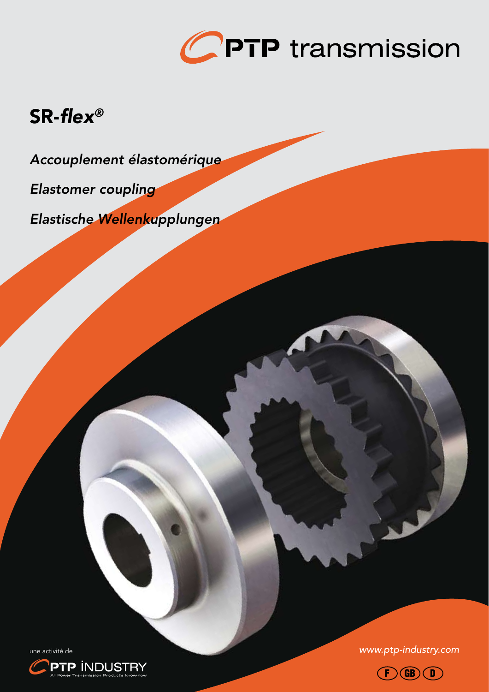

# SR-*flex®*

*Accouplement élastomérique*

*Elastomer coupling*

*Elastische Wellenkupplungen*

une activité de *www.ptp-industry.com*



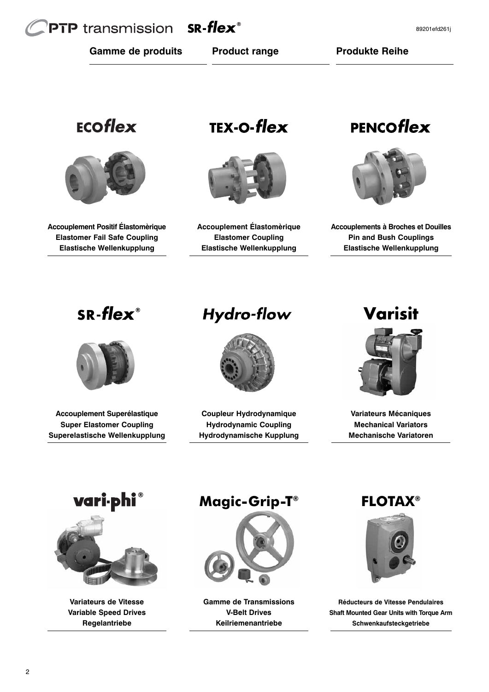# **PTP** transmission  $SR$ -flex<sup>®</sup>

**Gamme de produits Product range Produkte Reihe**

# ECOflex



**Accouplement Positif Élastomèrique Elastomer Fail Safe Coupling Elastische Wellenkupplung**

**TEX-O-flex** 



**Accouplement Élastomèrique Elastomer Coupling Elastische Wellenkupplung**

# PENCOflex



**Accouplements à Broches et Douilles Pin and Bush Couplings Elastische Wellenkupplung**

# $SR$ -flex<sup>®</sup>



**Accouplement Superélastique Super Elastomer Coupling Superelastische Wellenkupplung**

# **Hydro-flow**



**Coupleur Hydrodynamique Hydrodynamic Coupling Hydrodynamische Kupplung**

# Varisit



**Variateurs Mécaniques Mechanical Variators Mechanische Variatoren**





**Variateurs de Vitesse Variable Speed Drives Regelantriebe**

# **Magic-Grip-T®**



**Gamme de Transmissions V-Belt Drives Keilriemenantriebe**

**FLOTAX®**



**Réducteurs de Vitesse Pendulaires Shaft Mounted Gear Units with Torque Arm Schwenkaufsteckgetriebe**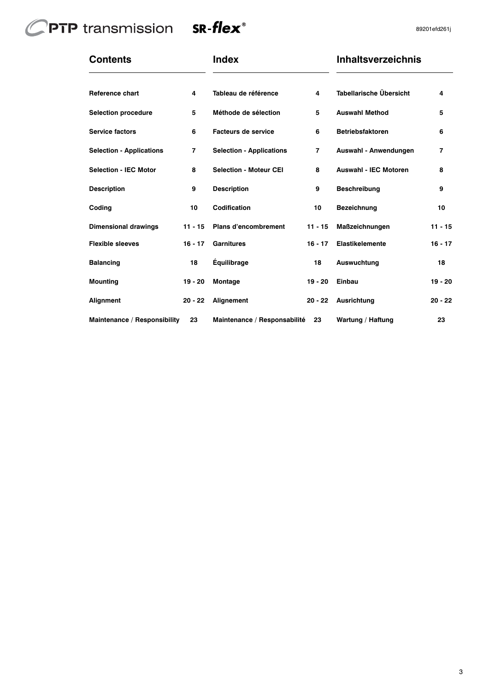# CPTP transmission SR-flex<sup>®</sup>



| <b>Contents</b>                 |                | <b>Index</b>                    |                | <b>Inhaltsverzeichnis</b>    |                |  |  |  |
|---------------------------------|----------------|---------------------------------|----------------|------------------------------|----------------|--|--|--|
| Reference chart                 | 4              | Tableau de référence            | 4              | Tabellarische Übersicht      | 4              |  |  |  |
| <b>Selection procedure</b>      | 5              | Méthode de sélection            | 5              | <b>Auswahl Method</b>        | 5              |  |  |  |
| <b>Service factors</b>          | 6              | <b>Facteurs de service</b>      | 6              | <b>Betriebsfaktoren</b>      | 6              |  |  |  |
| <b>Selection - Applications</b> | $\overline{7}$ | <b>Selection - Applications</b> | $\overline{7}$ | Auswahl - Anwendungen        | $\overline{7}$ |  |  |  |
| <b>Selection - IEC Motor</b>    | 8              | <b>Selection - Moteur CEI</b>   | 8              | <b>Auswahl - IEC Motoren</b> | 8              |  |  |  |
| <b>Description</b>              | 9              | <b>Description</b>              | 9              | <b>Beschreibung</b>          | 9              |  |  |  |
| Coding                          | 10             | Codification                    | 10             | Bezeichnung                  | 10             |  |  |  |
| <b>Dimensional drawings</b>     | $11 - 15$      | <b>Plans d'encombrement</b>     | $11 - 15$      | Maßzeichnungen               | $11 - 15$      |  |  |  |
| <b>Flexible sleeves</b>         | $16 - 17$      | <b>Garnitures</b>               | $16 - 17$      | <b>Elastikelemente</b>       | $16 - 17$      |  |  |  |
| <b>Balancing</b>                | 18             | Équilibrage                     | 18             | <b>Auswuchtung</b>           | 18             |  |  |  |
| <b>Mounting</b>                 | 19 - 20        | Montage                         | 19 - 20        | Einbau                       | $19 - 20$      |  |  |  |
| Alignment                       | $20 - 22$      | Alignement                      | $20 - 22$      | <b>Ausrichtung</b>           | $20 - 22$      |  |  |  |
| Maintenance / Responsibility    | 23             | Maintenance / Responsabilité    | 23             | Wartung / Haftung            | 23             |  |  |  |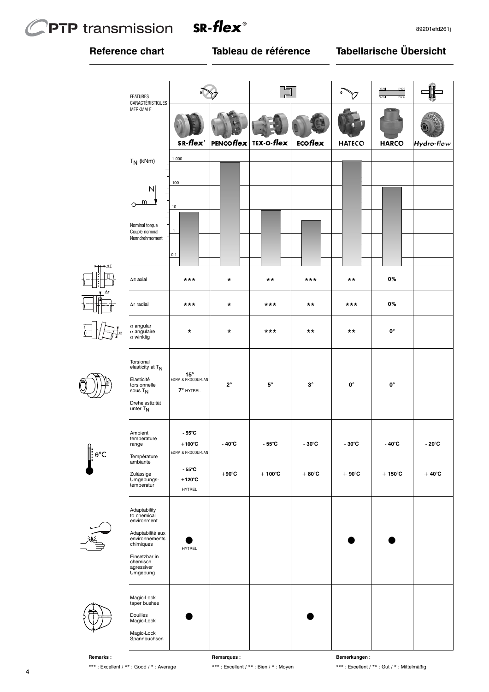# **PTP** transmission



# **Reference chart Tableau de référence**

# **Tabellarische Übersicht**

|                   | <b>FEATURES</b><br>CARACTÉRISTIQUES                                                                                                                  |                                                                    |                         |                  |                 |                    | $\overline{2}$<br>$\overline{m}$<br>$\mathbb{Z}$<br>7777 |                 |
|-------------------|------------------------------------------------------------------------------------------------------------------------------------------------------|--------------------------------------------------------------------|-------------------------|------------------|-----------------|--------------------|----------------------------------------------------------|-----------------|
|                   | MERKMALE                                                                                                                                             | SR-flex <sup>®</sup>                                               | TEX-O-flex<br>PENCOflex |                  | ECOflex         | <b>HATECO</b>      | <b>HARCO</b>                                             | Hydro-flow      |
|                   | $T_N$ (kNm)                                                                                                                                          | 1000                                                               |                         |                  |                 |                    |                                                          |                 |
|                   | $\mathsf{N}$<br>$\circ$ <sup>m</sup><br>Nominal torque<br>Couple nominal<br>Nenndrehmoment _                                                         | 100<br>10<br>1                                                     |                         |                  |                 |                    |                                                          |                 |
|                   |                                                                                                                                                      | 0,1                                                                |                         |                  |                 |                    |                                                          |                 |
| ΔF                | $\Delta E$ axial                                                                                                                                     | ***                                                                | $^\star$                | $***$            | ***             | $***$              | 0%                                                       |                 |
|                   | $\Delta r$ radial                                                                                                                                    | ***                                                                | $\star$                 | ***              | $***$           | ***                | 0%                                                       |                 |
|                   | $\alpha$ angular<br>$\alpha$ angulaire<br>$\alpha$ winklig                                                                                           | $\star$                                                            | $\star$                 | ***              | $***$           | $***$              | 0°                                                       |                 |
|                   | Torsional<br>elasticity at TN<br>Elasticité<br>torsionnelle<br>sous T <sub>N</sub><br>Drehelastizität<br>unter $T_N$                                 | $15^{\circ}$<br>EDPM & PROCOUPLAN<br>7° HYTREL                     | $2^{\circ}$             | $5^{\circ}$      | $3^\circ$       | $\mathbf{0}^\circ$ | 0°                                                       |                 |
| $\theta^{\circ}C$ | Ambient<br>temperature<br>range<br>Température<br>ambiante                                                                                           | $-55^{\circ}$ C<br>$+100^{\circ}$ C<br>EDPM & PROCOUPLAN<br>- 55°C | - 40°C                  | $-55^{\circ}$ C  | $-30^{\circ}$ C | $-30^{\circ}$ C    | $-40^{\circ}$ C                                          | $-20^{\circ}$ C |
|                   | Zulässige<br>Umgebungs-<br>temperatur                                                                                                                | $+120^{\circ}$ C<br><b>HYTREL</b>                                  | $+90^{\circ}$ C         | $+100^{\circ}$ C | $+80^{\circ}$ C | $+90^{\circ}$ C    | $+150^{\circ}$ C                                         | $+40^{\circ}$ C |
| $\frac{1}{2}$     | Adaptability<br>to chemical<br>environment<br>Adaptabilité aux<br>environnements<br>chimiques<br>Einsetzbar in<br>chemisch<br>agressiver<br>Umgebung | <b>HYTREL</b>                                                      |                         |                  |                 |                    |                                                          |                 |
|                   | Magic-Lock<br>taper bushes<br>Douilles<br>Magic-Lock<br>Magic-Lock<br>Spannbuchsen                                                                   |                                                                    |                         |                  |                 |                    |                                                          |                 |

 $\overleftarrow{\phantom{a}}$ 





 $\frac{1}{\sqrt{1-\frac{1}{2}}}$ 



**Remarks :** \*\*\* : Excellent / \*\* : Good / \* : Average **Remarques :** \*\*\* : Excellent / \*\* : Bien / \* : Moyen **Bemerkungen :** \*\*\* : Excellent / \*\* : Gut / \* : Mittelmäßig

4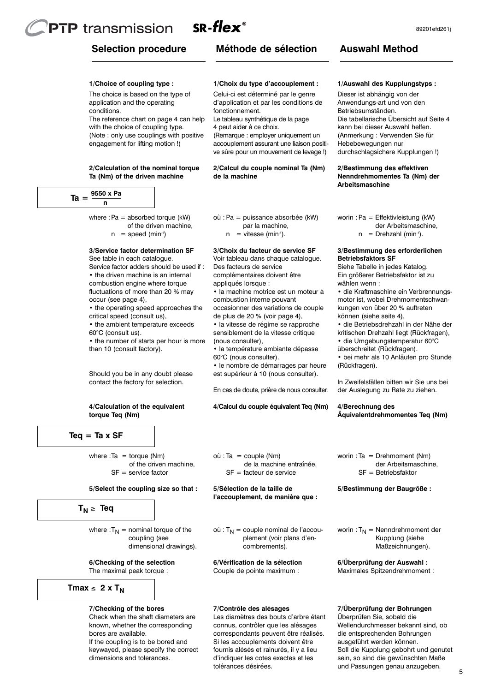# **PTP** transmission  $SR$ -flex<sup>®</sup>

**1/Choice of coupling type :** The choice is based on the type of application and the operating

The reference chart on page 4 can help with the choice of coupling type. (Note : only use couplings with positive engagement for lifting motion !)

**2/Calculation of the nominal torque Ta (Nm) of the driven machine**

# **Méthode de sélection**

#### **1/Choix du type d'accouplement :**

Celui-ci est déterminé par le genre d'application et par les conditions de fonctionnement.

Le tableau synthétique de la page 4 peut aider à ce choix.

(Remarque : employer uniquement un accouplement assurant une liaison positive sûre pour un mouvement de levage !)

#### **2/Calcul du couple nominal Ta (Nm) de la machine**

 $Ta = \frac{9550 \times Pa}{2}$ **n**

conditions.

where  $Pa =$  absorbed torque (kW) of the driven machine,

 $n = speed (min<sup>-1</sup>)$ 

## **3/Service factor determination SF**

See table in each catalogue. Service factor adders should be used if : • the driven machine is an internal combustion engine where torque fluctuations of more than 20 % may occur (see page 4),

• the operating speed approaches the critical speed (consult us), • the ambient temperature exceeds 60°C (consult us).

• the number of starts per hour is more than 10 (consult factory).

Should you be in any doubt please contact the factory for selection.

#### **4/Calculation of the equivalent torque Teq (Nm)**

**Teq = Ta x SF**

where  $:Ta = torque (Nm)$ of the driven machine,  $SF =$  service factor

## **5/Select the coupling size so that :**

# $T_N \geq$ **Teq**

where : $T_N$  = nominal torque of the coupling (see dimensional drawings).

**6/Checking of the selection** The maximal peak torque :

$$
Tmax \leq 2 \times T_N
$$

# **7/Checking of the bores**

Check when the shaft diameters are known, whether the corresponding bores are available. If the coupling is to be bored and keywayed, please specify the correct dimensions and tolerances.

# où : Pa = puissance absorbée (kW) par la machine,

 $n =$  vitesse (min<sup>-1</sup>).

## **3/Choix du facteur de service SF**

Voir tableau dans chaque catalogue. Des facteurs de service complémentaires doivent être

appliqués lorsque : • la machine motrice est un moteur à

combustion interne pouvant occasionner des variations de couple

de plus de 20 % (voir page 4),

• la vitesse de régime se rapproche sensiblement de la vitesse critique (nous consulter),

- la température ambiante dépasse 60°C (nous consulter).
- le nombre de démarrages par heure

 $où$ : Ta = couple (Nm)

SF = facteur de service

 $où: T_N = couple$  nominal de l'accouplement (voir plans d'en-

combrements).

**6/Vérification de la sélection** Couple de pointe maximum :

**5/Sélection de la taille de l'accouplement, de manière que :**

est supérieur à 10 (nous consulter).

En cas de doute, prière de nous consulter.

**4/Calcul du couple équivalent Teq (Nm)**

de la machine entraînée,

**1/Auswahl des Kupplungstyps :**

**Auswahl Method**

Dieser ist abhängig von der Anwendungs-art und von den Betriebsumständen. Die tabellarische Übersicht auf Seite 4 kann bei dieser Auswahl helfen. (Anmerkung : Verwenden Sie für Hebebewegungen nur durchschlagsichere Kupplungen !)

#### **2/Bestimmung des effektiven Nenndrehmomentes Ta (Nm) der Arbeitsmaschine**

worin : Pa = Effektivleistung (kW) der Arbeitsmaschine,

 $n = D$ rehzahl (min<sup>-1</sup>).

#### **3/Bestimmung des erforderlichen Betriebsfaktors SF**

Siehe Tabelle in jedes Katalog. Ein größerer Betriebsfaktor ist zu wählen wenn :

• die Kraftmaschine ein Verbrennungsmotor ist, wobei Drehmomentschwankungen von über 20 % auftreten können (siehe seite 4),

• die Betriebsdrehzahl in der Nähe der kritischen Drehzahl liegt (Rückfragen),

• die Umgebungstemperatur 60°C überschreitet (Rückfragen).

• bei mehr als 10 Anläufen pro Stunde (Rückfragen).

In Zweifelsfällen bitten wir Sie uns bei der Auslegung zu Rate zu ziehen.

**4/Berechnung des Äquivalentdrehmomentes Teq (Nm)**

worin : Ta = Drehmoment (Nm) der Arbeitsmaschine, SF = Betriebsfaktor

**5/Bestimmung der Baugröße :**

worin :  $T_N$  = Nenndrehmoment der Kupplung (siehe Maßzeichnungen).

**6/Überprüfung der Auswahl :** Maximales Spitzendrehmoment :

## **7/Contrôle des alésages**

Les diamètres des bouts d'arbre étant connus, contrôler que les alésages correspondants peuvent être réalisés. Si les accouplements doivent être fournis alésés et rainurés, il y a lieu d'indiquer les cotes exactes et les tolérances désirées.

# **7/Überprüfung der Bohrungen**

Überprüfen Sie, sobald die Wellendurchmesser bekannt sind, ob die entsprechenden Bohrungen ausgeführt werden können. Soll die Kupplung gebohrt und genutet sein, so sind die gewünschten Maße und Passungen genau anzugeben.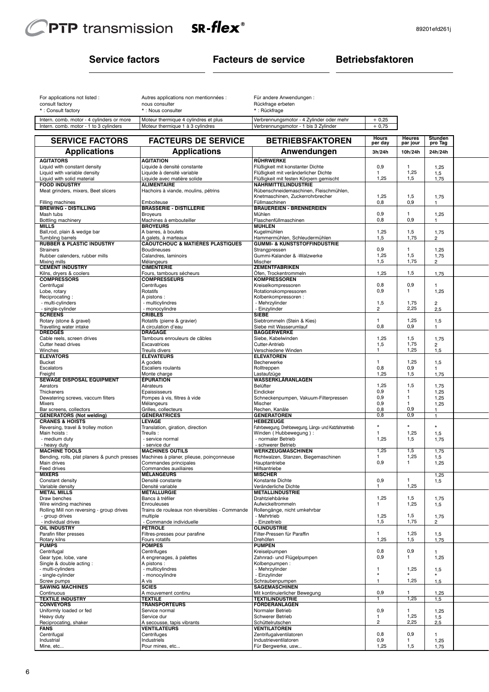

Intern. comb. motor - 1 to 3 cylinders

# **Service factors Facteurs de service Betriebsfaktoren**

| For applications not listed :             | Autres applications non mentionnées : | Für       |
|-------------------------------------------|---------------------------------------|-----------|
| consult factory                           | nous consulter                        | Rü        |
| *: Consult factory                        | *: Nous consulter                     | $\star$ . |
| Intern. comb. motor - 4 cylinders or more | Moteur thermique 4 cylindres et plus  | Ver       |

| Für andere Anwendungen: |
|-------------------------|
| Rückfrage erbeten       |
| $*$ . Donal decays      |

| : Rückfrage |  |
|-------------|--|
|             |  |

| ore | Moteur thermique 4 cylindres et plus | Verbrennungsmotor - 4 Zylinder oder mehr | 0.25 |
|-----|--------------------------------------|------------------------------------------|------|
|     | Moteur thermique 1 à 3 cvlindres     | 'Verbrennungsmotor - 1 bis 3 Zvlinder    |      |

| <b>SERVICE FACTORS</b>                                      | <b>FACTEURS DE SERVICE</b>                                          | <b>BETRIEBSFAKTOREN</b>                                                         | Hours<br>per day        | Heures<br>par jour           | Stunden<br>pro Tag     |  |
|-------------------------------------------------------------|---------------------------------------------------------------------|---------------------------------------------------------------------------------|-------------------------|------------------------------|------------------------|--|
| <b>Applications</b>                                         | <b>Applications</b>                                                 | Anwendungen                                                                     | 3h/24h                  | 10h/24h                      | 24h/24h                |  |
| <b>AGITATORS</b>                                            | <b>AGITATION</b>                                                    | <b>RÜHRWERKE</b>                                                                |                         |                              |                        |  |
| Liquid with constant density                                | Liquide à densité constante                                         | Flüßigkeit mit konstanter Dichte                                                | 0,9                     | 1                            | 1,25                   |  |
| Liquid with variable density                                | Liquide à densité variable                                          | Flüßigkeit mit veränderlicher Dichte                                            | $\mathbf{1}$            | 1,25                         | 1,5                    |  |
| Liquid with solid material<br><b>FOOD INDUSTRY</b>          | Liquide avec matière solide<br><b>ALIMENTAIRE</b>                   | Flüßigkeit mit festen Körpern gemischt<br><b>NÄHRMITTELINDUSTRIE</b>            | 1,25                    | 1,5                          | 1,75                   |  |
| Meat grinders, mixers, Beet slicers                         | Hachoirs à viande, moulins, pétrins                                 | Rübenschneidemaschinen, Fleischmühlen,                                          |                         |                              |                        |  |
|                                                             |                                                                     | Knetmaschinen, Zuckerrohrbrecher                                                | 1,25                    | 1,5                          | 1,75                   |  |
| Filling machines                                            | Emboiteuse                                                          | Füllmaschinen                                                                   | 0,8                     | 0,9                          | 1                      |  |
| <b>BREWING - DISTILLING</b><br>Mash tubs                    | <b>BRASSERIE - DISTILLERIE</b><br><b>Broyeurs</b>                   | <b>BRAUEREIEN - BRENNEREIEN</b><br>Mühlen                                       | 0,9                     | 1                            | 1,25                   |  |
| Bottling machinery                                          | Machines à embouteiller                                             | Flaschenfüllmaschinen                                                           | 0,8                     | 0,9                          | 1                      |  |
| <b>MILLS</b>                                                | <b>BROYEURS</b>                                                     | <b>MÜHLEN</b>                                                                   |                         |                              |                        |  |
| Ball,rod, plain & wedge bar                                 | A barres, à boulets                                                 | Kuaelmühlen                                                                     | 1,25                    | 1,5                          | 1,75                   |  |
| Tumbling barrels<br><b>RUBBER &amp; PLASTIC INDUSTRY</b>    | A galets, à marteaux<br><b>CAOUTCHOUC &amp; MATIÈRES PLASTIQUES</b> | Hammermühlen, Schleudermühlen<br>GUMMI- & KUNSTSTOFFINDUSTRIE                   | 1,5                     | 1,75                         | $\overline{2}$         |  |
| <b>Strainers</b>                                            | <b>Boudineuses</b>                                                  | Strangpressen                                                                   | 0,9                     | 1                            | 1,25                   |  |
| Rubber calenders, rubber mills                              | Calandres, laminoirs                                                | Gummi-Kalander & -Walzwerke                                                     | 1,25                    | 1,5                          | 1,75                   |  |
| Mixing mills<br><b>CEMENT INDUSTRY</b>                      | Mélangeurs<br><b>CIMENTERIE</b>                                     | Mischer<br><b>ZEMENTFABRIKEN</b>                                                | 1,5                     | 1,75                         | 2                      |  |
| Kilns, dryers & coolers                                     | Fours, tambours sécheurs                                            | Öfen, Trockentrommeln                                                           | 1,25                    | 1,5                          | 1,75                   |  |
| <b>COMPRESSORS</b>                                          | <b>COMPRESSEURS</b>                                                 | <b>KOMPRESSOREN</b>                                                             |                         |                              |                        |  |
| Centrifugal                                                 | Centrifuges                                                         | Kreiselkompressoren                                                             | 0,8                     | 0,9                          | 1                      |  |
| Lobe, rotary                                                | Rotatifs                                                            | Rotationskompressoren                                                           | 0,9                     | $\mathbf{1}$                 | 1,25                   |  |
| Reciprocating:<br>- multi-cylinders                         | A pistons:<br>- multicylindres                                      | Kolbenkompressoren:<br>- Mehrzylinder                                           | 1,5                     | 1,75                         | $\overline{2}$         |  |
| - single-cylinder                                           | - monocylindre                                                      | - Einzylinder                                                                   | 2                       | 2,25                         | 2,5                    |  |
| <b>SCREENS</b>                                              | <b>CRIBLES</b>                                                      | <b>SIEBE</b>                                                                    |                         |                              |                        |  |
| Rotary (stone & gravel)                                     | Rotatifs (pierre & gravier)                                         | Siebtrommeln (Stein & Kies)                                                     | $\mathbf{1}$            | 1,25                         | 1,5                    |  |
| Travelling water intake                                     | A circulation d'eau                                                 | Siebe mit Wasserumlauf                                                          | 0,8                     | 0,9                          | $\mathbf{1}$           |  |
| <b>DREDGES</b><br>Cable reels, screen drives                | <b>DRAGAGE</b><br>Tambours enrouleurs de câbles                     | <b>BAGGERWERKE</b><br>Siebe, Kabelwinden                                        | 1,25                    | 1,5                          | 1,75                   |  |
| Cutter head drives                                          | Excavatrices                                                        | Cutter-Antrieb                                                                  | 1,5                     | 1,75                         | $\overline{2}$         |  |
| Winches                                                     | <b>Treuils divers</b>                                               | Verschiedene Winden                                                             | $\mathbf{1}$            | 1,25                         | 1,5                    |  |
| <b>ELEVATORS</b>                                            | <b>ÉLÉVATEURS</b>                                                   | <b>ELEVATOREN</b>                                                               |                         |                              |                        |  |
| <b>Bucket</b><br>Escalators                                 | A godets<br>Escaliers roulants                                      | Becherwerke                                                                     | $\mathbf{1}$<br>0,8     | 1,25<br>0,9                  | 1,5                    |  |
| Freight                                                     | Monte charge                                                        | Rolltreppen<br>Lastaufzüge                                                      | 1.25                    | 1,5                          | $\mathbf{1}$<br>1,75   |  |
| <b>SEWAGE DISPOSAL EQUIPMENT</b>                            | <b>ÉPURATION</b>                                                    | <b>WASSERKLÄRANLAGEN</b>                                                        |                         |                              |                        |  |
| Aerators                                                    | Aérateurs                                                           | Belüfter                                                                        | 1,25                    | 1,5                          | 1,75                   |  |
| Thickeners                                                  | Epaississeurs                                                       | Eindicker                                                                       | 0,9                     | $\mathbf{1}$<br>$\mathbf{1}$ | 1,25                   |  |
| Dewatering screws, vaccum filters<br>Mixers                 | Pompes à vis, filtres à vide<br>Mélangeurs                          | Schneckenpumpen, Vakuum-Filterpressen<br>Mischer                                | 0,9<br>0,9              | $\mathbf{1}$                 | 1,25<br>1,25           |  |
| Bar screens, collectors                                     | Grilles, collecteurs                                                | Rechen, Kanäle                                                                  | 0,8                     | 0,9                          | 1                      |  |
| <b>GENERATORS (Not welding)</b>                             | <b>GÉNÉRATRICES</b>                                                 | <b>GENERATOREN</b>                                                              | 0,8                     | 0,9                          | $\mathbf{1}$           |  |
| <b>CRANES &amp; HOISTS</b>                                  | <b>LEVAGE</b>                                                       | <b>HEBEZEUGE</b>                                                                | $\star$                 | $\star$                      | $\star$                |  |
| Reversing, travel & trolley motion<br>Main hoists:          | Translation, giration, direction<br>Treuils:                        | Fahrbewegung, Drehbewegung, Längs- und Katzfahrantrieb<br>Winden (Hubbewegung): | $\mathbf{1}$            | 1,25                         | 1,5                    |  |
| - medium duty                                               | - service normal                                                    | - normaler Betrieb                                                              | 1,25                    | 1,5                          | 1,75                   |  |
| - heavy duty                                                | - service dur                                                       | - schwerer Betrieb                                                              |                         |                              |                        |  |
| <b>MACHINE TOOLS</b>                                        | <b>MACHINES OUTILS</b>                                              | WERKZEUGMASCHINEN                                                               | 1,25                    | 1,5                          | 1,75                   |  |
| Bending, rolls, plat planers & punch presses<br>Main drives | Machines à planer, plieuse, poinçonneuse<br>Commandes principales   | Richtwalzen, Stanzen, Biegemaschinen<br>Hauptantriebe                           | 1<br>0,9                | 1,25<br>$\mathbf{1}$         | 1,5<br>1,25            |  |
| Feed drives                                                 | Commandes auxiliaires                                               | Hilfsantriebe                                                                   |                         |                              |                        |  |
| <b>MIXERS</b>                                               | <b>MÉLANGEURS</b>                                                   | <b>MISCHER</b>                                                                  |                         |                              | 1,25                   |  |
| Constant density                                            | Densité constante                                                   | Konstante Dichte                                                                | 0,9                     | 1                            | 1,5                    |  |
| Variable density<br><b>METAL MILLS</b>                      | Densité variable<br>MÉTALLURGIE                                     | Veränderliche Dichte<br><b>METALLINDUSTRIE</b>                                  | 1                       | 1,25                         |                        |  |
| Draw benches                                                | Bancs à tréfiler                                                    | Drahtziehbänke                                                                  | 1,25                    | 1,5                          | 1,75                   |  |
| Wire winding machines                                       | Enrouleuses                                                         | Aufwickeltrommeln                                                               | 1                       | 1,25                         | 1,5                    |  |
| Rolling Mill non reversing - group drives                   | Trains de rouleaux non réversibles - Commande                       | Rollengänge, nicht umkehrbar                                                    |                         |                              |                        |  |
| - group drives<br>- individual drives                       | multiple<br>- Commande individuelle                                 | - Mehrtrieb<br>- Einzeltrieb                                                    | 1,25<br>1,5             | 1,5<br>1,75                  | 1,75<br>$\overline{2}$ |  |
| <b>OIL INDUSTRY</b>                                         | <b>PÉTROLE</b>                                                      | <b>ÖLINDUSTRIE</b>                                                              |                         |                              |                        |  |
| Parafin filter presses                                      | Filtres-presses pour parafine                                       | Filter-Pressen für Paraffin                                                     | 1                       | 1,25                         | 1,5                    |  |
| Rotary kilns                                                | Fours rotatifs                                                      | Drehöfen                                                                        | 1,25                    | 1,5                          | 1,75                   |  |
| <b>PUMPS</b><br>Centrifugal                                 | <b>POMPES</b><br>Centrifuges                                        | <b>PUMPEN</b><br>Kreiselpumpen                                                  | 0,8                     | 0,9                          |                        |  |
| Gear type, lobe, vane                                       | A engrenages, à palettes                                            | Zahnrad- und Flügelpumpen                                                       | 0,9                     | 1                            | 1<br>1,25              |  |
| Single & double acting:                                     | A pistons:                                                          | Kolbenpumpen:                                                                   |                         |                              |                        |  |
| - multi-cylinders                                           | - multicylindres                                                    | - Mehrzylinder                                                                  | $\mathbf{1}$            | 1,25                         | 1,5                    |  |
| - single-cylinder                                           | - monocylindre                                                      | - Einzylinder                                                                   | $\star$<br>$\mathbf{1}$ | 1,25                         |                        |  |
| Screw pumps<br><b>SAWING MACHINES</b>                       | A vis<br><b>SCIES</b>                                               | Schraubenpumpen<br>SÄGEMASCHINEN                                                |                         |                              | 1,5                    |  |
| Continuous                                                  | A mouvement continu                                                 | Mit kontinuierlicher Bewegung                                                   | 0,9                     | 1                            | 1,25                   |  |
| <b>TEXTILE INDUSTRY</b>                                     | <b>TEXTILE</b>                                                      | <b>TEXTILINDUSTRIE</b>                                                          | $\mathbf{1}$            | 1,25                         | 1,5                    |  |
| <b>CONVEYORS</b>                                            | <b>TRANSPORTEURS</b>                                                | <b>FÖRDERANLAGEN</b>                                                            |                         |                              |                        |  |
| Uniformly loaded or fed<br>Heavy duty                       | Service normal<br>Service dur                                       | Normaler Betrieb<br><b>Schwerer Betrieb</b>                                     | 0,9<br>$\mathbf{1}$     | 1,25                         | 1,25<br>1,5            |  |
| Reciprocating, shaker                                       | A secousse, tapis vibrants                                          | Schüttelrutschen                                                                | $\overline{2}$          | 2,25                         | 2,5                    |  |
| <b>FANS</b>                                                 | VENTILATEURS                                                        | <b>VENTILATOREN</b>                                                             |                         |                              |                        |  |
| Centrifugal                                                 | Centrifuges                                                         | Zentrifugalventilatoren                                                         | 0,8                     | 0,9                          | 1                      |  |
| Industrial<br>Mine, etc                                     | Industriels<br>Pour mines, etc                                      | Industrieventilatoren<br>Für Bergwerke, usw                                     | 0,9<br>1,25             | 1.<br>1,5                    | 1,25                   |  |
|                                                             |                                                                     |                                                                                 |                         |                              | 1,75                   |  |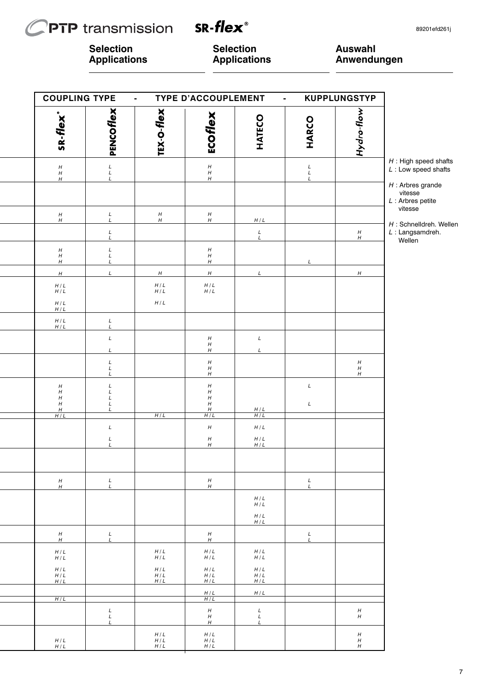# **PTP** transmission  $\mathcal C$

SR-flex<sup>®</sup>

**Selection Applications** **Selection Applications** **Auswahl Anwendungen**

| <b>COUPLING TYPE</b>                                                                     |                                            | $\blacksquare$      | TYPE D'ACCOUPLEMENT                                                         | $\blacksquare$    |                                            | <b>KUPPLUNGSTYP</b>                                      |                                                       |
|------------------------------------------------------------------------------------------|--------------------------------------------|---------------------|-----------------------------------------------------------------------------|-------------------|--------------------------------------------|----------------------------------------------------------|-------------------------------------------------------|
| SR-flex <sup>®</sup>                                                                     | PENCOFIEX                                  | TEX-O-flex          | ECOflex                                                                     | HATECO            | <b>HARCO</b>                               | Hydro-flow                                               |                                                       |
| $\begin{array}{c} H \\ H \\ H \end{array}$                                               | $\begin{array}{c} L \\ L \\ L \end{array}$ |                     | $\begin{array}{c} H \\ H \\ H \end{array}$                                  |                   | $\begin{array}{c} L \\ L \\ L \end{array}$ |                                                          | $H$ : High speed shafts<br>$L:$ Low speed shafts      |
|                                                                                          |                                            |                     |                                                                             |                   |                                            |                                                          | $H$ : Arbres grande<br>vitesse<br>$L$ : Arbres petite |
| $\boldsymbol{H}$<br>$\boldsymbol{H}$                                                     | $_L^L$                                     | $_H^H$              | $\frac{H}{H}$                                                               | H/L               |                                            |                                                          | vitesse                                               |
|                                                                                          | $_L^L$                                     |                     |                                                                             | $\frac{L}{L}$     |                                            | $^{\prime\prime}_{\prime\prime}$                         | H : Schnelldreh. Wellen<br>L: Langsamdreh.<br>Wellen  |
| $\begin{array}{c} H \\ H \\ H \end{array}$                                               | $\begin{array}{c} L \\ L \\ L \end{array}$ |                     | $_{H}^{\prime}$<br>H                                                        |                   | L                                          |                                                          |                                                       |
| $\boldsymbol{H}$                                                                         | $\mathcal{L}$                              | $\boldsymbol{H}$    | H                                                                           | L                 |                                            | H                                                        |                                                       |
| $H/L$<br>$H/L$                                                                           |                                            | $H/L$<br>$H/L$      | $H/L$<br>$H/L$                                                              |                   |                                            |                                                          |                                                       |
| $H/L$<br>H/L                                                                             |                                            | $H/L$               |                                                                             |                   |                                            |                                                          |                                                       |
| $\begin{array}{c} H/L \\ H/L \end{array}$                                                | $_L^L$                                     |                     |                                                                             |                   |                                            |                                                          |                                                       |
|                                                                                          | $\cal L$<br>L                              |                     | $\begin{array}{c} H \\ H \\ H \end{array}$                                  | $\cal L$<br>L     |                                            |                                                          |                                                       |
|                                                                                          | L<br>$\cal L$<br>L                         |                     | $\boldsymbol{H}$<br>$^{\prime\prime}_{\prime\prime}$                        |                   |                                            | $\begin{array}{c} H \\ H \\ H \end{array}$               |                                                       |
| $H_{\rm}$<br>$\boldsymbol{H}$<br>$\boldsymbol{H}$<br>$\boldsymbol{H}$<br>$\frac{H}{H/L}$ | L<br>$\cal L$<br>L<br>L<br>L               |                     | $_{H}^{\prime}$<br>$\boldsymbol{H}$<br>$\boldsymbol{H}$<br>$\boldsymbol{H}$ | $\frac{H/L}{H/L}$ | $\cal L$<br>L                              |                                                          |                                                       |
|                                                                                          | $\cal L$                                   | H/L                 | H/L<br>$\boldsymbol{H}$                                                     | $H/L$             |                                            |                                                          |                                                       |
|                                                                                          | $\cal L$<br>$\mathbf{I}$                   |                     | H                                                                           | $H/L$<br>$H/L$    |                                            |                                                          |                                                       |
|                                                                                          |                                            |                     |                                                                             |                   |                                            |                                                          |                                                       |
| $\boldsymbol{H}$<br>$\boldsymbol{H}$                                                     | L<br>$\cal L$                              |                     | $\boldsymbol{H}$<br>$\boldsymbol{H}$                                        |                   | L<br>L                                     |                                                          |                                                       |
|                                                                                          |                                            |                     |                                                                             | $H/L$<br>$H/L$    |                                            |                                                          |                                                       |
|                                                                                          |                                            |                     |                                                                             | H/L<br>H/L        |                                            |                                                          |                                                       |
| H<br>H                                                                                   | $_L^L$                                     |                     | $\boldsymbol{H}$<br>$\boldsymbol{H}$                                        |                   | L<br>L                                     |                                                          |                                                       |
| H/L<br>H/L                                                                               |                                            | $H/L$<br>H/L        | H/L<br>H/L                                                                  | H/L<br>H/L        |                                            |                                                          |                                                       |
| H/L<br>H/L<br>H/L                                                                        |                                            | $H/L$<br>H/L<br>H/L | $H/L$<br>H/L<br>H/L                                                         | H/L<br>H/L<br>H/L |                                            |                                                          |                                                       |
| H/L                                                                                      |                                            |                     | H/L<br>H/L                                                                  | H/L               |                                            |                                                          |                                                       |
|                                                                                          | $_L^L$<br>$\mathbf{I}$                     |                     | $\boldsymbol{H}$<br>$\boldsymbol{H}$<br>$\boldsymbol{H}$                    | L<br>$_L^L$       |                                            | $\boldsymbol{H}$<br>$\boldsymbol{H}$                     |                                                       |
| H/L<br>H/L                                                                               |                                            | H/L<br>H/L<br>H/L   | H/L<br>H/L<br>H/L                                                           |                   |                                            | $\boldsymbol{H}$<br>$\boldsymbol{H}$<br>$\boldsymbol{H}$ |                                                       |
|                                                                                          |                                            |                     |                                                                             |                   |                                            |                                                          |                                                       |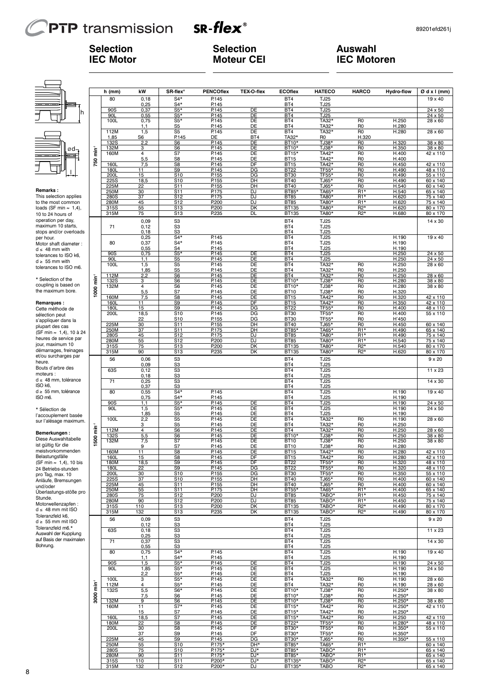# **PTP** transmission

**Selection IEC Motor**



**Selection Moteur CEI** **Auswahl IEC Motoren**

# ød-<br><del>ed</del>

#### **Remarks :**

# **Remarques :**

|                                             |         | h (mm)               | kW             | SR-flex <sup>®</sup>               | <b>PENCOflex</b> | TEX-O-flex | <b>ECOflex</b>             | <b>HATECO</b>              | <b>HARCO</b>                         | <b>Hydro-flow</b>    | Ødxl(mm)             |
|---------------------------------------------|---------|----------------------|----------------|------------------------------------|------------------|------------|----------------------------|----------------------------|--------------------------------------|----------------------|----------------------|
|                                             |         | 80                   | 0, 18          | $S4*$                              | P.145            |            | BT4                        | <b>TJ25</b>                |                                      |                      | 19 x 40              |
|                                             |         |                      | 0,25           | $S4*$                              | P.145            | DE         | BT4<br>BT4                 | <b>TJ25</b>                |                                      |                      |                      |
| h                                           |         | 90S<br>90L           | 0,37<br>0,55   | $S5*$<br>$S5*$                     | P.145<br>P.145   | DE         | BT4                        | <b>TJ25</b><br><b>TJ25</b> |                                      |                      | 24 x 50<br>24 x 50   |
|                                             |         | 100L                 | 0,75           | $S5*$                              | P.145            | DE         | BT4                        | TA32*                      | R <sub>0</sub>                       | H.250                | 28 x 60              |
|                                             |         |                      | 1,1            | <u>S5</u>                          | P.145            | DE         | BT4                        | TA32*                      | R <sub>0</sub>                       | H.280                |                      |
|                                             |         | 112M                 | 1,5<br>S6      | S5<br>P.145                        | P.145<br>DE      | DE<br>BT4  | BT4<br>TA32*               | TA32*<br>R0                | R0                                   | H.280                | 28 x 60              |
|                                             |         | 1,85<br>132S         | 2,2            | S <sub>6</sub>                     | P.145            | DE         | BT10*                      | TJ38*                      | H.320<br>R <sub>0</sub>              | H.320                | 38 x 80              |
| Ød-                                         |         | 132M                 | 3              | S <sub>6</sub>                     | P.145            | DE         | BT10*                      | TJ38*                      | R0                                   | H.350                | 38 x 80              |
|                                             | È       | 160M                 | 4              | S7                                 | P.145            | DE         | BT15*                      | TA42*                      | R <sub>0</sub>                       | H.400                | 42 x 110             |
|                                             | 750     | 160L                 | 5,5            | S8                                 | P.145            | DE<br>DF   | <b>BT15</b>                | TA42*                      | R <sub>0</sub><br>R <sub>0</sub>     | H.400                | 42 x 110             |
|                                             |         | 180L                 | 7,5<br>11      | S8<br>S9                           | P.145<br>P.145   | DG         | <b>BT15</b><br><b>BT22</b> | TA42*<br>TF <sub>55</sub>  | R <sub>0</sub>                       | H.450<br>H.490       | 48 x 110             |
|                                             |         | 200L                 | 15             | S <sub>10</sub>                    | P.155            | DG         | <b>BT30</b>                | <b>TF55</b>                | R <sub>0</sub>                       | H.490                | 55 x 110             |
|                                             |         | 225S                 | 18,5           | S <sub>10</sub>                    | P.155            | DH         | <b>BT40</b>                | TJ65*                      | R <sub>0</sub>                       | H.490                | 60 x 140             |
| <b>Remarks:</b>                             |         | 225M<br>250M         | 22<br>30       | S <sub>11</sub><br>S11             | P.155<br>P.175   | DH<br>DJ   | <b>BT40</b><br>BT85*       | TJ65*<br>TA65*             | R <sub>0</sub><br>R1*                | H.540<br>H.540       | 60 x 140<br>65 x 140 |
| This selection applies                      |         | 280S                 | 37             | S12                                | P.175            | DJ         | <b>BT85</b>                | TA80*                      | R1*                                  | H.620                | 75 x 140             |
| to the most common                          |         | 280M                 | 45             | S <sub>12</sub>                    | P.200            | DJ         | <b>BT85</b>                | TA80*                      | R1*                                  | H.620                | 75 x 140             |
| loads (SF min $\approx$ 1,4),               |         | 315S                 | 55             | S <sub>13</sub>                    | P.200            | DK         | <b>BT135</b>               | TA80*                      | R <sub>2</sub> *                     | H.620                | 80 x 170             |
| 10 to 24 hours of                           |         | 315M                 | 75             | S <sub>13</sub>                    | P.235            | DL         | BT135                      | <b>TA80</b> *              | R <sub>2</sub> *                     | H.680                | 80 x 170             |
| operation per day,                          |         |                      | 0,09           | S <sub>3</sub>                     |                  |            | BT4                        | <b>TJ25</b>                |                                      |                      | 14 x 30              |
| maximum 10 starts<br>stops and/or overloads |         | 71                   | 0,12<br>0,18   | S <sub>3</sub><br>S <sub>3</sub>   |                  |            | BT4<br>BT4                 | <b>TJ25</b><br><b>TJ25</b> |                                      |                      |                      |
| per hour.                                   |         |                      | 0,25           | $S4*$                              | P.145            |            | BT4                        | <b>TJ25</b>                |                                      | H.190                | 19 x 40              |
| Motor shaft diameter :                      |         | 80                   | 0,37           | $S4*$                              | P.145            |            | BT4                        | TJ25                       |                                      | H.190                |                      |
| $d \leq 48$ mm with                         |         |                      | 0,55           | S4                                 | P.145            |            | BT4                        | <b>TJ25</b>                |                                      | H.190                |                      |
| tolerances to ISO k6,                       |         | 90S                  | 0,75           | $S5*$                              | P.145            | DE<br>DE   | BT4                        | <b>TJ25</b>                |                                      | H.250                | 24 x 50              |
| $d \geq 55$ mm with                         |         | 90L<br>100L          | 1,1<br>1,5     | <u>S5</u><br>S5                    | P.145<br>P.145   | DE         | BT4<br>BT4                 | TJ25<br>TA32*              | R <sub>0</sub>                       | H.250<br>H.250       | 24 x 50<br>28 x 60   |
| tolerances to ISO m6.                       |         |                      | 1,85           | S <sub>5</sub>                     | P.145            | DE         | BT4                        | TA32*                      | R <sub>0</sub>                       | H.250                |                      |
|                                             |         | 112M                 | 2,2            | S6                                 | P.145            | DE         | BT4                        | TA32*                      | R <sub>0</sub>                       | H.250                | 28 x 60              |
| * Selection of the<br>coupling is based on  | ۔<br>E  | 132S                 | з              | S <sub>6</sub>                     | P.145            | DE<br>DE   | BT10*                      | TJ38*                      | R <sub>0</sub>                       | H.280                | 38 x 80              |
| the maximum bore.                           | 1000    | 132M                 | 4<br>5,5       | S6<br>S7                           | P.145<br>P.145   | DE         | BT10*<br><b>BT10</b>       | TJ38*<br>TJ38*             | R <sub>0</sub><br>R <sub>0</sub>     | H.280<br>H.320       | 38 x 80              |
|                                             |         | 160M                 | 7,5            | S <sub>8</sub>                     | P.145            | DE         | <b>BT15</b>                | TA42*                      | R <sub>0</sub>                       | H.320                | 42 x 110             |
| Remarques:                                  |         | 160L                 | 11             | S9                                 | P.145            | DF         | <b>BT15</b>                | TA42*                      | R <sub>0</sub>                       | H.350                | 42 x 110             |
| Cette méthode de                            |         | 180L                 | 15             | S9                                 | P.145            | DG         | <b>BT22</b>                | TF55*                      | R <sub>0</sub>                       | H.400                | 48 x 110             |
| sélection peut                              |         | 200L                 | 18,5<br>22     | S <sub>10</sub><br>S <sub>10</sub> | P.145<br>P.155   | DG<br>DG   | <b>BT30</b><br><b>BT30</b> | TF55*<br>TF55*             | R0<br>R <sub>0</sub>                 | H.400<br>H'450       | 55 x 110             |
| s'appliquer dans la                         |         | 225M                 | 30             | S <sub>11</sub>                    | P.155            | DH         | <b>BT40</b>                | TJ65*                      | R0                                   | H.450                | 60 x 140             |
| plupart des cas<br>(SF min ≈ 1,4), 10 à 24  |         | 250M                 | 37             | S <sub>11</sub>                    | P.175            | DH         | BT85*                      | <b>TA65</b>                | R1*                                  | H.490                | 65 x 140             |
| heures de service par                       |         | 280S                 | 45             | S <sub>12</sub>                    | P.175            | DJ         | <b>BT85</b>                | TA80*                      | R1*                                  | H.490                | 75 x 140             |
| jour, maximum 10                            |         | 280M<br>315S         | 55<br>75       | S <sub>12</sub><br>S <sub>13</sub> | P.200<br>P.200   | DJ<br>DK   | <b>BT85</b><br>BT135       | TA80*<br>TA80*             | R1*<br>R <sub>2</sub> *              | H.540<br>H.540       | 75 x 140<br>80 x 170 |
| démarrages, freinages                       |         | 315M                 | 90             | S <sub>13</sub>                    | P.235            | DK         | BT135                      | <b>TA80</b> *              | R2*                                  | H.620                | 80 x 170             |
| et/ou surcharges par                        |         | 56                   | 0,06           | S <sub>3</sub>                     |                  |            | BT4                        | <b>TJ25</b>                |                                      |                      | $9 \times 20$        |
| heure.<br>Bouts d'arbre des                 |         |                      | 0,09           | S <sub>3</sub>                     |                  |            | BT4                        | <b>TJ25</b>                |                                      |                      |                      |
| moteurs :                                   |         | 63S                  | 0,12           | S <sub>3</sub>                     |                  |            | BT4                        | TJ25                       |                                      |                      | 11 x 23              |
| d ≤ 48 mm, tolérance                        |         | 71                   | 0,18<br>0,25   | S3<br>S <sub>3</sub>               |                  |            | BT4<br>BT4                 | <b>TJ25</b><br><b>TJ25</b> |                                      |                      | $\overline{14}$ x 30 |
| ISO k6.                                     |         |                      | 0,37           | S <sub>3</sub>                     |                  |            | BT4                        | TJ25                       |                                      |                      |                      |
| d ≥ 55 mm, tolérance                        |         | 80                   | 0,55           | $S4*$                              | P.145            |            | BT4                        | TJ25                       |                                      | H.190                | 19 x 40              |
| ISO m6.                                     |         |                      | 0,75           | $S4*$                              | P.145            |            | BT4                        | <b>TJ25</b>                |                                      | H.190                |                      |
|                                             |         | 90S<br>90L           | 1,1<br>1,5     | $S5*$<br>$S5*$                     | P.145<br>P.145   | DE<br>DE   | BT4<br>BT4                 | <b>TJ25</b><br>TJ25        |                                      | H.190<br>H.190       | 24 x 50<br>24 x 50   |
| * Sélection de<br>l'accouplement basée      |         |                      | 1,85           | S5                                 | P.145            | DE         | BT4                        | <b>TJ25</b>                |                                      | H.190                |                      |
| sur l'alésage maximum.                      |         | 100L                 | 2,2            | S <sub>5</sub>                     | P.145            | DE         | BT4                        | TA32*                      | R <sub>0</sub>                       | H.190                | 28 x 60              |
|                                             | in<br>E |                      | 3              | S5<br>S <sub>6</sub>               | P.145            | DE         | BT4                        | TA32*                      | R <sub>0</sub>                       | H.250                |                      |
| Bemerkungen :                               |         | 112M<br>132S         | 4<br>5,5       | S6                                 | P.145<br>P.145   | DE<br>DE   | BT4<br>BT10*               | TA32*<br>TJ38*             | R <sub>0</sub><br>R <sub>0</sub>     | H.250<br>H.250       | 28 x 60<br>38 x 80   |
| Diese Auswahltabelle                        | 1500    | 132M                 | 7,5            | S7                                 | P.145            | DE         | <b>BT10</b>                | TJ38*                      | R <sub>0</sub>                       | H.250                | 38 x 80              |
| ist gültig für die                          |         |                      | 9              | S7                                 | P.145            | DE         | <b>BT10</b>                | TJ38*                      | R <sub>0</sub>                       | H.280                |                      |
| meistvorkommenden<br>Belastungsfälle        |         | 160M                 | 11<br>15       | S8<br>S8                           | P.145            | DE<br>DF   | <b>BT15</b>                | TA42*                      | R <sub>0</sub><br>R <sub>0</sub>     | H.280                | 42 x 110             |
| (SF min ≈ 1,4), 10 bis                      |         | <u> 160L</u><br>180M | 18,5           | S9                                 | P.145<br>P.145   | DF         | <b>BT15</b><br><b>BT22</b> | TA42*<br>TF55*             | R <sub>0</sub>                       | H.280<br>H.320       | 42 x 110<br>48 x 110 |
| 24 Betriebs-stunden                         |         | 180L                 | 22             | S9                                 | P.145            | DG         | <b>BT22</b>                | TF55*                      | R0                                   | H.320                | 48 x 110             |
| pro Tag, max. 10                            |         | 200L                 | 30             | S <sub>10</sub>                    | P.155            | DG         | <b>BT30</b>                | TF55*                      | R0                                   | H.350                | 55 x 110             |
| Anläufe, Bremsungen                         |         | 225S<br>225M         | 37<br>45       | S <sub>10</sub><br>S <sub>11</sub> | P.155<br>P.155   | DH<br>DH   | <b>BT40</b><br><b>BT40</b> | TJ65*<br>TJ65*             | R0<br>R <sub>0</sub>                 | H.400<br>H.400       | 60 x 140<br>60 x 140 |
| und/oder                                    |         | 250M                 | 55             | S <sub>11</sub>                    | P.175            | DH         | BT55*                      | TA65*                      | R1*                                  | H.400                | 65 x 140             |
| Uberlastungs-stöße pro<br>Stunde.           |         | 280S                 | 75             | S <sub>12</sub>                    | P.200            | DJ         | <b>BT85</b>                | TABO*                      | R1*                                  | H.450                | 75 x 140             |
| Motorwellenzapfen:                          |         | 280M                 | 90             | S <sub>12</sub>                    | P.200            | DJ         | <b>BT85</b>                | TABO*                      | R1*                                  | H.450                | 75 x 140             |
| $d \leq 48$ mm mit ISO                      |         | 315S<br>315M         | 110<br>132     | S <sub>13</sub><br>S <sub>13</sub> | P.200<br>P.235   | DK<br>DK   | BT135<br>BT135             | TABO*<br>TABO*             | R <sub>2</sub> *<br>R <sub>2</sub> * | H.490<br>H.490       | 80 x 170<br>80 x 170 |
| Toleranzfeld k6,                            |         |                      |                |                                    |                  |            |                            |                            |                                      |                      |                      |
| $d \geq 55$ mm mit ISO                      |         | 56                   | 0,09<br>0,12   | S <sub>3</sub><br>S3               |                  |            | BT4<br>BT4                 | TJ25<br><b>TJ25</b>        |                                      |                      | $9 \times 20$        |
| Toleranzfeld m6.*                           |         | 63S                  | 0,18           | S3                                 |                  |            | BT4                        | TJ25                       |                                      |                      | 11 x 23              |
| Auswahl der Kupplung                        |         |                      | 0,25           | S <sub>3</sub>                     |                  |            | BT4                        | <b>TJ25</b>                |                                      |                      |                      |
| auf Basis der maximalen<br>Bohrung.         |         | 71                   | 0,37           | S <sub>3</sub>                     |                  |            | BT4                        | <b>TJ25</b>                |                                      |                      | 14 x 30              |
|                                             |         | 80                   | 0,55<br>0,75   | S3<br>$S4*$                        | P.145            |            | BT4<br>BT4                 | <b>TJ25</b><br><b>TJ25</b> |                                      | H.190                | 19 x 40              |
|                                             |         |                      | 1,1            | $S4*$                              | P.145            |            | BT4                        | <b>TJ25</b>                |                                      | H.190                |                      |
|                                             |         | 90S                  | 1,5            | $S5*$                              | P.145            | DE         | BT4                        | TJ25                       |                                      | H.190                | 24 x 50              |
|                                             |         | 90L                  | 1,85           | $S5*$                              | P.145            | DE         | BT4                        | <b>TJ25</b>                |                                      | H.190                | 24 x 50              |
|                                             |         | 100L                 | 2,2<br>3       | $S5*$<br>$S5*$                     | P.145<br>P.145   | DE<br>DE   | BT4<br>BT4                 | <b>TJ25</b><br>TA32*       | R <sub>0</sub>                       | H.190<br>H.190       | 28 x 60              |
|                                             | È       | 112M                 | $\overline{4}$ | $S5*$                              | P.145            | DE         | BT4                        | TA32*                      | R <sub>0</sub>                       | H.190                | 28 x 60              |
|                                             |         | 132S                 | 5,5            | $S6*$                              | P.145            | DE         | BT10*                      | TJ38*                      | R0                                   | $H.250*$             | 38 x 80              |
|                                             | 8000    |                      | 7,5            | S6                                 | P.145            | DE         | BT10*                      | TJ38*                      | R0                                   | $H.250*$             |                      |
|                                             |         | 132M<br>160M         | 9<br>11        | S6<br>$S7*$                        | P.145<br>P.145   | DE<br>DE   | BT10*<br>BT15*             | TJ38*<br>TA42*             | R <sub>0</sub><br>R0                 | $H.250*$<br>$H.250*$ | 38 x 80<br>42 x 110  |
|                                             |         |                      | 15             | S7                                 | P.145            | DE         | BT15*                      | TA42*                      | R0                                   | $H.250*$             |                      |
|                                             |         | 160L                 | 18,5           | S7                                 | P.145            | DE         | BT15*                      | TA42*                      | R0                                   | H.250                | 42 x 110             |
|                                             |         | 180M                 | 22             | S8                                 | P.145            | DE         | BT22*                      | TF55*                      | R0                                   | $H.280*$             | 48 x 110             |
|                                             |         | 200L                 | 30<br>37       | S8<br>S9                           | P.145<br>P.145   | DF<br>DF   | BT30*<br>BT30*             | TF55*<br>TF55*             | R0<br>R0                             | $H.350*$<br>$H.350*$ | 55 x 110             |
|                                             |         | 225M                 | 45             | S9                                 | P.145            | DG         | BT30*                      | TJ65*                      | R0                                   | H.350*               | 55 x 110             |
|                                             |         | 250M                 | 55             | S <sub>10</sub>                    | P.175*           | DH*        | BT85*                      | TA65*                      | R1*                                  |                      | 60 x 140             |
|                                             |         | 280S                 | 75             | S <sub>10</sub>                    | P.175*           | DJ*        | BT85*                      | TABO*                      | R1*                                  |                      | 65 x 140             |
|                                             |         | 280M<br>315S         | 90<br>110      | S11<br>S <sub>11</sub>             | P.175*<br>P.200* | DJ*<br>DJ* | BT85*<br>BT135*            | TABO*<br>TABO*             | R1*<br>R2*                           |                      | 65 x 140<br>65 x 140 |
|                                             |         | 315M                 | 132            | S <sub>12</sub>                    | P.200*           | DJ         | BT135*                     | <b>TABO</b>                | R <sub>2</sub> *                     |                      | 65 x 140             |
|                                             |         |                      |                |                                    |                  |            |                            |                            |                                      |                      |                      |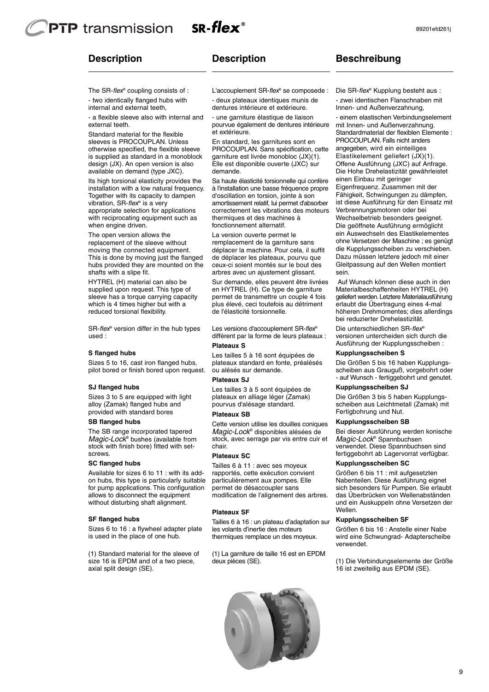# **PTP** transmission SR-flex $^{\circ}$

# **Description**

# **Description**

internal and external teeth, - two identically flanged hubs with The SR-flex® coupling consists of :

external teeth. - a flexible sleeve also with internal and

available on demand (type JXC). design (JX). An open version is also is supplied as standard in a monoblock otherwise specified, the flexible sleeve sleeves is PROCOUPLAN. Unless Standard material for the flexible

when engine driven. with reciprocating equipment such as appropriate selection for applications Together with its capacity to dampen installation with a low natural frequency. Its high torsional elasticity provides the vibration, SR-flex<sup>®</sup> is a very

shafts with a slipe fit. hubs provided they are mounted on the This is done by moving just the flanged moving the connected equipment. replacement of the sleeve without The open version allows the

reduced torsional flexibility. which is 4 times higher but with a sleeve has a torque carrying capacity supplied upon request. This type of HYTREL (H) material can also be

used : SR-flex® version differ in the hub types

#### **S flanged hubs**

pilot bored or finish bored upon request. Sizes 5 to 16, cast iron flanged hubs,

#### **SJ flanged hubs**

provided with standard bores alloy (Zamak) flanged hubs and Sizes 3 to 5 are equipped with light

#### **SB flanged hubs**

screws. stock with finish bore) fitted with set-Magic-Lock<sup>®</sup> bushes (available from The SB range incorporated tapered

## **SC flanged hubs**

without disturbing shaft alignment. allows to disconnect the equipment for pump applications. This configuration on hubs, this type is particularly suitable Available for sizes 6 to 11 : with its add-

#### **SF flanged hubs**

is used in the place of one hub. Sizes 6 to 16 : a flywheel adapter plate

axial split design (SE). size 16 is EPDM and of a two piece, (1) Standard material for the sleeve of dentures intérieure et extérieure. - deux plateaux identiques munis de

et extérieure. pourvue également de dentures intérieure - une garniture élastique de liaison

demande. Elle est disponible ouverte (JXC) sur garniture est livrée monobloc (JX)(1). PROCOUPLAN. Sans spécification, cette En standard, les garnitures sont en

fonctionnement alternatif. thermiques et des machines à correctement les vibrations des moteurs amortissement relatif, lui permet d'absorber d'oscillation en torsion, jointe à son à l'installation une basse fréquence propre Sa haute élasticité torsionnelle qui confère

arbres avec un ajustement glissant. ceux-ci soient montés sur le bout des de déplacer les plateaux, pourvu que déplacer la machine. Pour cela, il suffit remplacement de la garniture sans La version ouverte permet le

de l'élasticité torsionnelle. plus élevé, ceci toutefois au détriment permet de transmettre un couple 4 fois en HYTREL (H). Ce type de garniture Sur demande, elles peuvent être livrées

**Plateaux S** diffèrent par la forme de leurs plateaux : Les versions d'accouplement SR-flex®

ou alésés sur demande. plateaux standard en fonte, préalésés Les tailles 5 à 16 sont équipées de

#### **Plateaux SJ**

pourvus d'alésage standard. plateaux en alliage léger (Zamak) Les tailles 3 à 5 sont équipées de

#### **Plateaux SB**

chair. stock, avec serrage par vis entre cuir et Magic-Lock® disponibles alésées de Cette version utilise les douilles coniques

#### **Plateaux SC**

modification de l'alignement des arbres. permet de désaccoupler sans particulièrement aux pompes. Elle rapportés, cette exécution convient Tailles 6 à 11 : avec ses moyeux

#### **Plateaux SF**

thermiques remplace un des moyeux. les volants d'inertie des moteurs Tailles 6 à 16 : un plateau d'adaptation sur

deux pièces (SE). (1) La garniture de taille 16 est en EPDM



**Beschreibung**

sein. Gleitpassung auf den Wellen montiert Dazu müssen letztere jedoch mit einer die Kupplungsscheiben zu verschieben. ohne Versetzen der Maschine ; es genügt ein Auswechseln des Elastikelementes Die geöffnete Ausführung ermöglicht Wechselbetrieb besonders geeignet. Verbrennungsmotoren oder bei ist diese Ausführung für den Einsatz mit Fähigkeit, Schwingungen zu dämpfen, Eigenfrequenz. Zusammen mit der einen Einbau mit geringer Die Hohe Drehelastizität gewährleistet Offene Ausführung (JXC) auf Anfrage. Elastikelement geliefert (JX)(1). angegeben, wird ein einteiliges PROCOUPLAN. Falls nicht anders Standardmaterial der flexiblen Elemente : mit Innen- und Außenverzahnung. - einem elastischen Verbindungselement

bei reduzierter Drehelastizität. höheren Drehmomentes; dies allerdings erlaubt die Übertragung eines 4-mal geliefert werden.Letztere Materialausführung Materialbeschaffenheiten HYTREL (H) Auf Wunsch können diese auch in den

Ausführung der Kupplungsscheiben : versionen untercheiden sich durch die Die unterschiedlichen SR-flex®

#### **Kupplungsscheiben S**

- auf Wunsch - fertiggebohrt und genutet. scheiben aus Grauguß, vorgebohrt oder Die Größen 5 bis 16 haben Kupplungs-

#### **Kupplungsscheiben SJ**

Fertigbohrung und Nut. scheiben aus Leichtmetall (Zamak) mit Die Größen 3 bis 5 haben Kupplungs-

#### **Kupplungsscheiben SB**

fertiggebohrt ab Lagervorrat verfügbar. verwendet. Diese Spannbuchsen sind Magic-Lock<sup>®</sup> Spannbuchsen Bei dieser Ausführung werden konische

## **Kupplungsscheiben SC**

Wellen. und ein Auskuppeln ohne Versetzen der das Überbrücken von Wellenabständen sich besonders für Pumpen. Sie erlaubt Nabenteilen. Diese Ausführung eignet Größen 6 bis 11 : mit aufgesetzten

#### **Kupplungsscheiben SF**

verwendet. wird eine Schwungrad- Adapterscheibe Größen 6 bis 16 : Anstelle einer Nabe

16 ist zweiteilig aus EPDM (SE). (1) Die Verbindungselemente der Größe

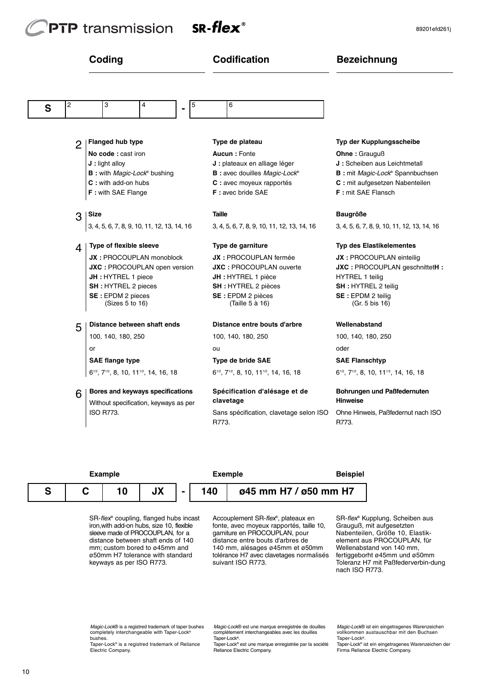# **PTP** transmission



|   |                | Coding                                                                      | <b>Codification</b>                                                         | <b>Bezeichnung</b>                                                          |  |  |  |  |
|---|----------------|-----------------------------------------------------------------------------|-----------------------------------------------------------------------------|-----------------------------------------------------------------------------|--|--|--|--|
| S | 2              | 3<br>4<br>5<br>-                                                            | 6                                                                           |                                                                             |  |  |  |  |
|   |                |                                                                             |                                                                             |                                                                             |  |  |  |  |
|   | $\overline{2}$ | Flanged hub type                                                            | Type de plateau                                                             | Typ der Kupplungsscheibe                                                    |  |  |  |  |
|   |                | No code: cast iron                                                          | <b>Aucun: Fonte</b>                                                         | Ohne: Grauguß                                                               |  |  |  |  |
|   |                | $J:$ light alloy                                                            | J : plateaux en alliage léger                                               | J: Scheiben aus Leichtmetall                                                |  |  |  |  |
|   |                | <b>B</b> : with <i>Magic-Lock®</i> bushing                                  | <b>B</b> : avec douilles Magic-Lock®                                        | B : mit Magic-Lock® Spannbuchsen                                            |  |  |  |  |
|   |                | <b>C</b> : with add-on hubs                                                 | C : avec moyeux rapportés                                                   | C : mit aufgesetzen Nabenteilen                                             |  |  |  |  |
|   |                | F: with SAE Flange                                                          | <b>F</b> : avec bride SAE                                                   | F: mit SAE Flansch                                                          |  |  |  |  |
|   | 3              | Size                                                                        | <b>Taille</b>                                                               | <b>Baugröße</b>                                                             |  |  |  |  |
|   |                | 3, 4, 5, 6, 7, 8, 9, 10, 11, 12, 13, 14, 16                                 | 3, 4, 5, 6, 7, 8, 9, 10, 11, 12, 13, 14, 16                                 | 3, 4, 5, 6, 7, 8, 9, 10, 11, 12, 13, 14, 16                                 |  |  |  |  |
|   | 4              | <b>Type of flexible sleeve</b>                                              | Type de garniture                                                           | <b>Typ des Elastikelementes</b>                                             |  |  |  |  |
|   |                | <b>JX: PROCOUPLAN monoblock</b>                                             | JX : PROCOUPLAN fermée                                                      | JX : PROCOUPLAN einteilig                                                   |  |  |  |  |
|   |                | JXC : PROCOUPLAN open version                                               | <b>JXC: PROCOUPLAN ouverte</b>                                              | JXC: PROCOUPLAN geschnittetH:                                               |  |  |  |  |
|   |                | JH : HYTREL 1 piece                                                         | JH : HYTREL 1 pièce                                                         | <b>HYTREL 1 teilig</b>                                                      |  |  |  |  |
|   |                | <b>SH</b> : HYTREL 2 pieces                                                 | <b>SH</b> : HYTREL 2 pièces                                                 | <b>SH: HYTREL 2 teilig</b>                                                  |  |  |  |  |
|   |                | SE: EPDM 2 pieces<br>(Sizes 5 to 16)                                        | SE : EPDM 2 pièces<br>(Taille 5 à 16)                                       | SE: EPDM 2 teilig<br>(Gr. 5 bis 16)                                         |  |  |  |  |
|   | 5              | Distance between shaft ends                                                 | Distance entre bouts d'arbre                                                | Wellenabstand                                                               |  |  |  |  |
|   |                | 100, 140, 180, 250                                                          | 100, 140, 180, 250                                                          | 100, 140, 180, 250                                                          |  |  |  |  |
|   |                | or                                                                          | ou                                                                          | oder                                                                        |  |  |  |  |
|   |                | <b>SAE flange type</b>                                                      | <b>Type de bride SAE</b>                                                    | <b>SAE Flanschtyp</b>                                                       |  |  |  |  |
|   |                | 6 <sup>1/2</sup> , 7 <sup>1/2</sup> , 8, 10, 11 <sup>1/2</sup> , 14, 16, 18 | 6 <sup>1/2</sup> , 7 <sup>1/2</sup> , 8, 10, 11 <sup>1/2</sup> , 14, 16, 18 | 6 <sup>1/2</sup> , 7 <sup>1/2</sup> , 8, 10, 11 <sup>1/2</sup> , 14, 16, 18 |  |  |  |  |
|   | 6              | Bores and keyways specifications                                            | Spécification d'alésage et de                                               | Bohrungen und Paßfedernuten                                                 |  |  |  |  |
|   |                | Without specification, keyways as per                                       | clavetage                                                                   | <b>Hinweise</b>                                                             |  |  |  |  |
|   |                | <b>ISO R773.</b>                                                            | Sans spécification, clavetage selon ISO                                     | Ohne Hinweis, Paßfedernut nach ISO                                          |  |  |  |  |

**Example Exemple Beispiel S C 10 - 140 ø45 mm H7 / ø50 mm H7 JX**

R773.

keyways as per ISO R773. ø50mm H7 tolerance with standard mm; custom bored to ø45mm and distance between shaft ends of 140 sleeve made of PROCOUPLAN, for a iron,with add-on hubs, size 10, flexible SR-flex® coupling, flanged hubs incast

suivant ISO R773. tolérance H7 avec clavetages normalisés 140 mm, alésages ø45mm et ø50mm distance entre bouts d'arbres de garniture en PROCOUPLAN, pour fonte, avec moyeux rapportés, taille 10, Accouplement SR-flex<sup>®</sup>, plateaux en

nach ISO R773. Toleranz H7 mit Paßfederverbin-dung fertiggeborht ø45mm und ø50mm Wellenabstand von 140 mm, element aus PROCOUPLAN, für Nabenteilen, Größe 10, Elastik-Grauguß, mit aufgesetzten SR-flex® Kupplung, Scheiben aus

R773.

Magic-Lock® is a registred trademark of taper bushes<br>completely interchangeable with Taper-Lock® bushes.

Taper-Lock® is a registred trademark of Reliance Electric Company.

Magic-Lock® est une marque enregistrée de douilles complètement interchangeables avec les douilles Taper-Lock®.

Taper-Lock® est une marque enregistrée par la société Reliance Electric Company.

Magic-Lock® ist ein eingetragenes Warenzeicher<br>vollkommen austauschbar mit den Buchsen Taper-Lock®.

Taper-Lock® ist ein eingetragenes Warenzeichen der Firma Reliance Electric Company.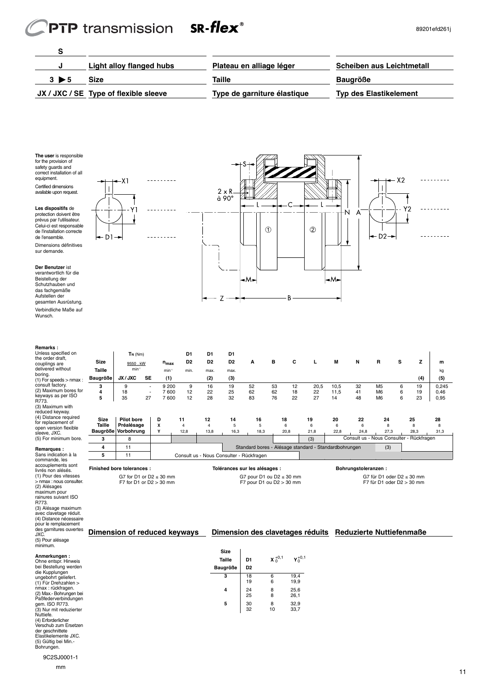# PTP transmission SR-flex®

 $\mathbf{r}$  $\frac{1}{2}$ 

f

- Y 1

<u> 22222222</u>

<u> - - - - - - - -</u>

 $x_1$ 

 $-D1$ 

 ł

<u>. . . . . . . . .</u>

<u>. . . . . . . . .</u>

ł

 $Y2$ 

 $x<sub>2</sub>$ 

I

 $-D2$ 

|                      | JX / JXC / SE Type of flexible sleeve | Type de garniture élastique | <b>Typ des Elastikelement</b> |
|----------------------|---------------------------------------|-----------------------------|-------------------------------|
| $3 \triangleright 5$ | <b>Size</b>                           | Taille                      | <b>Baugröße</b>               |
|                      | Light alloy flanged hubs              | Plateau en alliage léger    | Scheiben aus Leichtmetall     |
|                      |                                       |                             |                               |

 $R \rightarrow R$  $\mathbb{Z}^+$  $\begin{array}{c} \begin{array}{c} \begin{array}{c} \end{array} \\ \begin{array}{c} \end{array} \\ \begin{array}{c} \end{array} \end{array} \end{array}$  $\frac{1}{\sqrt{2}}$  $\frac{1}{\sqrt{2}}$  $\frac{1}{\sqrt{2}}$  $\mathbb{Z}$ 

Z

怎 F  $\frac{1}{2}$  $\overline{\mathbf{Z}}$  $\mathbf{Z}$  $\mathbf{Z}$  $\mathbf{z}$  **A** 

 $\circ$   $\circ$ 

B

 

 $\mathsf{L}$ 

Ν A

  $\sum_{l=1}^{N+1}$ 

  $\frac{1}{\sqrt{2}}$ 

**The user** is responsible for the provision of safety guards and correct installation of all equipment. Certified dimensions available upon request.



**Der Benutzer** ist verantwortlich für die Beistellung der Schutzhauben und das fachgemäße Aufstellen der gesamten Ausrüstung.

Verbindliche Maße auf Wunsch.

| Remarks:                                                            |                            |                   |           |                                                           |                |                                          |                |                                                             |    |                     |                                                       |      |                               |                                                               |   |            |       |
|---------------------------------------------------------------------|----------------------------|-------------------|-----------|-----------------------------------------------------------|----------------|------------------------------------------|----------------|-------------------------------------------------------------|----|---------------------|-------------------------------------------------------|------|-------------------------------|---------------------------------------------------------------|---|------------|-------|
| Unless specified on                                                 |                            | $T_N$ ( $Nm$ )    |           |                                                           | D <sub>1</sub> | D1                                       | D1             |                                                             |    |                     |                                                       |      |                               |                                                               |   |            |       |
| the order draft,<br>couplings are                                   | <b>Size</b>                | 9550, kW          |           | $n_{max}$                                                 | D <sub>2</sub> | D <sub>2</sub>                           | D <sub>2</sub> | А                                                           | в  | c                   | L                                                     | M    | N                             | R                                                             | s | z          | m     |
| delivered without                                                   | Taille                     | $min-1$           |           | $min-1$                                                   | min.           | max.                                     | max.           |                                                             |    |                     |                                                       |      |                               |                                                               |   |            | kg    |
| boring.<br>$(1)$ For speeds $>$ nmax :                              | Baugröße                   | JX/JXC            | <b>SE</b> | (1)                                                       |                | (2)                                      | (3)            |                                                             |    |                     |                                                       |      |                               |                                                               |   | (4)        | (5)   |
| consult factory.                                                    | 3                          | 9                 |           | 9 200                                                     | 9              | 16                                       | 19             | 52                                                          | 53 | 12                  | 20,5                                                  | 10,5 | 32                            | M <sub>5</sub>                                                | 6 | 19         | 0,245 |
| (2) Maximum bores for                                               | 4                          | 18                |           | 7 600                                                     | 12             | 22                                       | 25             | 62                                                          | 62 | 18                  | 22                                                    | 11,5 | 41                            | M <sub>6</sub>                                                | 6 | 19         | 0,46  |
| keyways as per ISO<br>R773.                                         | 5                          | 35                | 27        | 7600                                                      | 12             | 28                                       | 32             | 83                                                          | 76 | 22                  | 27                                                    | 14   | 48                            | M <sub>6</sub>                                                | 6 | 23         | 0,95  |
| (3) Maximum with<br>reduced keyway.                                 |                            |                   |           |                                                           |                |                                          |                |                                                             |    |                     |                                                       |      |                               |                                                               |   |            |       |
| (4) Distance required<br>for replacement of                         | <b>Size</b>                | <b>Pilot bore</b> |           | D                                                         | 11             | 12                                       | 14             | 16                                                          |    | 18                  | 19                                                    | 20   | 22                            | 24                                                            |   | 25         | 28    |
| open version flexible                                               | Taille                     | Préalésage        |           | x                                                         | $\overline{4}$ | $\overline{4}$                           | 5              | 5                                                           |    | 6                   | 6                                                     | 6    | 6                             | 8                                                             |   | R          | 8     |
| sleeve, JXC.                                                        | Baugröße                   | Vorbohrung        |           | Y                                                         | 12.8           | 13.8                                     | 16.3           | 18.3                                                        |    | 20.8                | 21.8                                                  | 22.8 | 24.8                          | 27.3                                                          |   | 28.3       | 31.3  |
| (5) For minimum bore.                                               | 3                          | 8                 |           |                                                           |                |                                          |                |                                                             |    |                     | (3)                                                   |      | Consult us - Nous Consulter - |                                                               |   | Rückfragen |       |
| Remarques:                                                          | 4                          | 11                |           |                                                           |                |                                          |                |                                                             |    |                     | Standard bores - Alésage standard - Standardbohrungen |      |                               | (3)                                                           |   |            |       |
| Sans indication à la                                                | 5                          | 11                |           |                                                           |                | Consult us - Nous Consulter - Rückfragen |                |                                                             |    |                     |                                                       |      |                               |                                                               |   |            |       |
| commande, les<br>accouplements sont<br>livrés non alésés.           | Finished bore tolerances : |                   |           |                                                           |                | Tolérances sur les alésages :            |                |                                                             |    | Bohrungstoleranzen: |                                                       |      |                               |                                                               |   |            |       |
| (1) Pour des vitesses<br>> nmax : nous consulter.<br>$(2)$ Alássass |                            |                   |           | G7 for D1 or D2 $\leq$ 30 mm<br>F7 for D1 or $D2 > 30$ mm |                |                                          |                | G7 pour D1 ou D2 $\leq$ 30 mm<br>F7 pour D1 ou $D2 > 30$ mm |    |                     |                                                       |      |                               | G7 für D1 oder D2 $\leq$ 30 mm<br>F7 für D1 oder $D2 > 30$ mm |   |            |       |

**Dimension of reduced keyways Dimension des clavetages réduits Reduzierte Nuttiefenmaße**

**Taille**  $\begin{vmatrix} D1 & X_0^{+0.1} & Y \end{vmatrix}$ 

**3** 18 6 19,4 19 6 19,9 **4** 24 8 25,6 25 8 26,1 **5**  $\begin{array}{|c|c|c|c|} 30 & 8 & 32.9 \\ 32 & 10 & 33.7 \end{array}$ 

 $33,7$ 

+0,1 0

**Size**

**Baugröße D2**

(2) Alésages maximum pour rainures suivant ISO R773. (3) Alésage maximum avec clavetage réduit. (4) Distance nécessaire pour le remplacement des garnitures ouvertes JXC. (5) Pour alésage

minimum.

**Anmerkungen :**<br>Ohne entspr. Hinweis<br>bei Bestellung werden<br>ungebohrt geliefert.<br>(1) Für Drehzahlen ><br>nmax : rückfragen.<br>(2) Max - Bohrungen bei<br>Paßfederverbindungen<br>gem. ISO R773.<br>(3) Nur mit reduzierter Nuttiefe. (4) Erforderlicher Verschub zum Ersetzen der geschnittete Elastikelemente JXC. (5) Gültig bei Min.- Bohrungen.

9C2SJ0001-1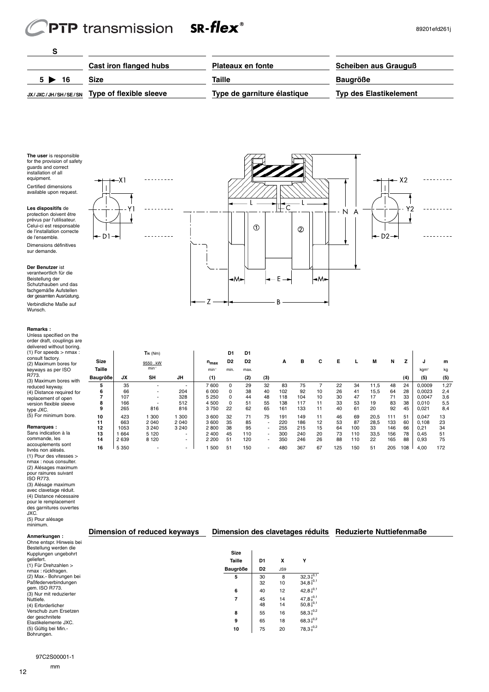# $SR$ -flex $^{\circ}$ **PTP** transmission

٧1

 $-X1$ 

 $D1$ 

<u>. . . . . . . . .</u>

 $\overline{\phantom{a}}$ 

. . . . . .

Y2

 $X<sub>2</sub>$ 

 $D<sub>2</sub>$ 

and the contract of the contract of



┢  $\overline{\mathbb{Z}}$  $\mathbb Z$ <u>VII.</u>  $\mathbb{Z}/2$ <u> Sala</u> and the second contract of the second contract of the second contract of the second contract of the second contract of the second contract of the second contract of the second contract of the second contract of the second **Particularly** a de de la composición de la composición de la composición de la composición de la composición de T  $\frac{1}{\sqrt{1-\frac{1}{2}}}$  $\frac{1}{\sqrt{11}}$ P  $\overline{\mathbb{Z}}$  $\mathbb Z$  $\frac{1}{2}$ 

**TN** (Nm) **D1 D1**

 $\mathsf{Z}$ 

 $\mathcal{A}$ I  $\overline{\bf Z}$  $\mathbf{Z}$  $\overline{\mathbf{Z}}$  $\mathbf{Z}$  $\mathbf{Z}$  A T

 $\circledcirc$ 

**Size** 9550 . kW **nmax D2 D2 A B C E L M N Z J m Taille compared min-1 min-1 min-1 min. max. the max. Taille is the min-1 min-1 min-1 min-1 min-1 min-1 min-1 min-1 Baugröße JX SH JH (1) (2) (3) (4) (5) (5)** 35 - - 7 600 0 29 32 83 75 7 22 34 11,5 48 24 0,0009 1,27 66 - 204 6 000 0 38 40 102 92 10 26 41 15,5 64 28 0,0023 2,4 | 107 328 | 5 250 0 44 48 118 104 10 30 47 17 71 33 | 0,0047 3,6 166 - 512 4 500 0 51 55 138 117 11 33 53 19 83 38 0,010 5,5 265 816 816 3 750 22 62 65 161 133 11 40 61 20 92 45 0,021 8,4 | 423 1 300 1 300 | 3600 32 71 75 191 149 11 46 69 20,5 111 51 | 0,047 13 663 2 040 2 040 3 600 35 85 - 220 186 12 53 87 28,5 133 60 0,108 23 1053 3 240 3 240 2 800 38 95 - 255 215 15 64 100 33 146 66 0,21 34 1 664 5 120 - 2 400 45 110 - 300 240 20 73 110 33,5 156 78 0,45 51

 $\overline{B}$ 

 40 12 42,8 $_{0}^{+0,1}$  45 14 47,8<br>48 14 50,8 | 55 16 58,3 $^{+0,2}$  65 18 68,3 $^{\text{+0,2}}$ 75 20 78,3 $_{0}^{+0,2}$ 

 $^{+0,1}_{0,+0,1}$ 

  $\mathbb{Z}$  $\mathbb{Z}$  $\mathbb{Z}_{+}$ ┪

> $\mathbb{N}$ A

  $\overline{\mathscr{L}}$  $\overrightarrow{v}$ 

 $\circled{2}$ 

٠Μ

╙

**The user** is responsible<br>for the provision of safety<br>guards and correct for the provision of safety guards and correct installation of all equipment. Certified dimensions available upon request.

**Les dispositifs** de protection doivent être prévus par l'utilisateur. Celui-ci est responsable de l'installation correcte de l'ensemble. Dimensions définitives sur demande.

**Der Benutzer** ist verantwortlich für die Beistellung der Schutzhauben und das fachgemäße Aufstellen der gesamten Ausrüstung. Verbindliche Maße auf Wunsch.

#### **Remarks :**

Unless specified on the order draft, couplings are delivered without boring. (1) For speeds > nmax : consult factory. (2) Maximum bores for keyways as per ISO R773. (3) Maximum bores with reduced keyway. (4) Distance required for replacement of open version flexible sleeve type JXC. (5) For minimum bore.

#### **Remarques :**

Sans indication à la commande, les accouplements sont livrés non alésés.  $(1)$ nmax : nous consulter. (2) Alésages maximum pour rainures suivant ISO R773.  $\overline{c}$ avec clavetage réduit. (4) Distance nécessaire pour le remplacement des garnitures ouvertes JXC. (5) Pour alésage  $min$ 

| commande, les                            | 14 | 2 6 3 9 | 8 1 2 0                      | $\overline{\phantom{a}}$ | 2 2 0 0 | 51          | 120                                                       | $\overline{\phantom{a}}$ | 350 | 246             | 26 | 88  | 110 | 22 | 165 | 88  | 0,93 | 75  |
|------------------------------------------|----|---------|------------------------------|--------------------------|---------|-------------|-----------------------------------------------------------|--------------------------|-----|-----------------|----|-----|-----|----|-----|-----|------|-----|
| accouplements sont<br>livrés non alésés. | 16 | 5 3 5 0 |                              | $\overline{\phantom{a}}$ | 500     | 51          | 150                                                       | $\overline{\phantom{a}}$ | 480 | 367             | 67 | 125 | 150 | 51 | 205 | 108 | 4,00 | 172 |
| $(1)$ Pour des vitesses $>$              |    |         |                              |                          |         |             |                                                           |                          |     |                 |    |     |     |    |     |     |      |     |
| nmax : nous consulter.                   |    |         |                              |                          |         |             |                                                           |                          |     |                 |    |     |     |    |     |     |      |     |
| (2) Alésages maximum                     |    |         |                              |                          |         |             |                                                           |                          |     |                 |    |     |     |    |     |     |      |     |
| pour rainures suivant                    |    |         |                              |                          |         |             |                                                           |                          |     |                 |    |     |     |    |     |     |      |     |
| <b>ISO R773.</b>                         |    |         |                              |                          |         |             |                                                           |                          |     |                 |    |     |     |    |     |     |      |     |
| (3) Alésage maximum                      |    |         |                              |                          |         |             |                                                           |                          |     |                 |    |     |     |    |     |     |      |     |
| avec clavetage réduit.                   |    |         |                              |                          |         |             |                                                           |                          |     |                 |    |     |     |    |     |     |      |     |
| (4) Distance nécessaire                  |    |         |                              |                          |         |             |                                                           |                          |     |                 |    |     |     |    |     |     |      |     |
| pour le remplacement                     |    |         |                              |                          |         |             |                                                           |                          |     |                 |    |     |     |    |     |     |      |     |
| des garnitures ouvertes                  |    |         |                              |                          |         |             |                                                           |                          |     |                 |    |     |     |    |     |     |      |     |
| JXC.                                     |    |         |                              |                          |         |             |                                                           |                          |     |                 |    |     |     |    |     |     |      |     |
| (5) Pour alésage                         |    |         |                              |                          |         |             |                                                           |                          |     |                 |    |     |     |    |     |     |      |     |
| minimum.                                 |    |         |                              |                          |         |             |                                                           |                          |     |                 |    |     |     |    |     |     |      |     |
| Anmerkungen:                             |    |         | Dimension of reduced keyways |                          |         |             | Dimension des clavetages réduits Reduzierte Nuttiefenmaße |                          |     |                 |    |     |     |    |     |     |      |     |
| Ohne entspr. Hinweis bei                 |    |         |                              |                          |         |             |                                                           |                          |     |                 |    |     |     |    |     |     |      |     |
| Bestellung werden die                    |    |         |                              |                          |         |             |                                                           |                          |     |                 |    |     |     |    |     |     |      |     |
| Kupplungen ungebohrt                     |    |         |                              |                          |         | <b>Size</b> |                                                           |                          |     |                 |    |     |     |    |     |     |      |     |
| geliefert.                               |    |         |                              |                          |         | Taille      |                                                           | D <sub>1</sub>           | x   | Y               |    |     |     |    |     |     |      |     |
| (1) Für Drehzahlen >                     |    |         |                              |                          |         |             |                                                           |                          |     |                 |    |     |     |    |     |     |      |     |
| nmax: rückfragen.                        |    |         |                              |                          |         | Baugröße    |                                                           | D <sub>2</sub>           | JS9 |                 |    |     |     |    |     |     |      |     |
| (2) Max.- Bohrungen bei                  |    |         |                              |                          |         | 5           |                                                           | 30                       | 8   | $32,3_0^{+0,1}$ |    |     |     |    |     |     |      |     |
| Paßfederverbindungen                     |    |         |                              |                          |         |             |                                                           | 32                       | 10  | $34,8_0^{+0,1}$ |    |     |     |    |     |     |      |     |

Bohrungen.

Paßfederverbindungen gem. ISO R773. (3) Nur mit reduzierter Nuttiefe. (4) Erforderlicher Verschub zum Ersetzen der geschnitete Elastikelemente JXC. (5) Gültig bei Min.-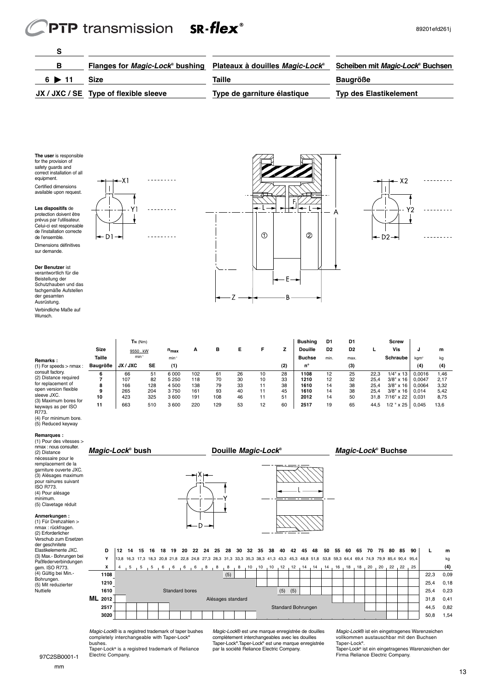# PTP transmission SR-flex<sup>®</sup>

| в                     | Flanges for Magic-Lock® bushing Plateaux à douilles Magic-Lock® |                             | Scheiben mit Magic-Lock® Buchsen |
|-----------------------|-----------------------------------------------------------------|-----------------------------|----------------------------------|
| $6 \triangleright 11$ | <b>Size</b>                                                     | Taille                      | <b>Baugröße</b>                  |
|                       | JX / JXC / SE Type of flexible sleeve                           | Type de garniture élastique | <b>Typ des Elastikelement</b>    |

**The user** is responsible for the provision of safety guards and correct installation of all equipment. Certified dimensions available upon request.

**Les dispositifs** de

de l'ensemble.



 $\overline{1}$ 

sur demande. **Der Benutzer** ist verantwortlich für die Beistellung der Schutzhauben und das

fachgemäße Aufstellen der gesamten Ausrüstung.

Verbindliche Maße auf Wunsch.

**Remarks :**







|                                             |             | $T_N$ (Nm) |     |                   |     |     |    |    |     | Bushing        | D1             | D1             |      | <b>Screw</b>      |        |      |  |
|---------------------------------------------|-------------|------------|-----|-------------------|-----|-----|----|----|-----|----------------|----------------|----------------|------|-------------------|--------|------|--|
|                                             | <b>Size</b> | 9550 . kW  |     | $n_{max}$         | А   | в   | Е  |    | z   | <b>Douille</b> | D <sub>2</sub> | D <sub>2</sub> |      | Vis               |        | m    |  |
| <b>Remarks:</b>                             | Taille      | $min-1$    |     | min <sup>-1</sup> |     |     |    |    |     | <b>Buchse</b>  | min.           | max.           |      | <b>Schraube</b>   | kgm    | kg   |  |
| $(1)$ For speeds $>$ nmax :                 | Baugröße    | JX / JXC   | SE  | (1)               |     |     |    |    | (2) | n°             |                | (3)            |      |                   | (4)    | (4)  |  |
| consult factory.<br>(2) Distance required   | 6           | 66         | 51  | 6 000             | 102 | 61  | 26 | 10 | 28  | 1108           | 12             | 25             | 22.3 | $1/4$ " x 13      | 0.0016 | 1.46 |  |
|                                             |             | 107        | 82  | 5 2 5 0           | 118 | 70  | 30 | 10 | 33  | 1210           | 12             | 32             | 25,4 | $3/8" \times 16$  | 0.0047 | 2.17 |  |
| for replacement of                          | 8           | 166        | 128 | 4 500             | 138 | 79  | 33 |    | 38  | 1610           | 14             | 38             | 25,4 | $3/8" \times 16$  | 0.0064 | 3,32 |  |
| open version flexible                       | 9           | 265        | 204 | 3750              | 161 | 93  | 40 | 11 | 45  | 1610           | 14             | 38             | 25,4 | $3/8" \times 16$  | 0.014  | 5,42 |  |
| sleeve JXC.                                 | 10          | 423        | 325 | 3600              | 191 | 108 | 46 |    | 51  | 2012           | 14             | 50             | 31.8 | $7/16" \times 22$ | 0.031  | 8,75 |  |
| (3) Maximum bores for<br>keyways as per ISO | 11          | 663        | 510 | 3600              | 220 | 129 | 53 | 12 | 60  | 2517           | 19             | 65             | 44.5 | $1/2$ "<br>x 25   | 0,045  | 13,6 |  |

keyways as per ISO R773. (4) For minimum bore. (5) Reduced keyway

**Remarques :** (1) Pour des vitesses >

| nmax : nous consulter.<br>(2) Distance                                                                                                                                                                          |             | Magic-Lock <sup>®</sup> bush |    |    |                                                                                                |    |    |     |                       |     |                |    |     |                   | Douille Magic-Lock® |      |      |                 |                    |      |      |    |    |    |    |    | Magic-Lock <sup>®</sup> Buchse               |          |    |      |      |      |
|-----------------------------------------------------------------------------------------------------------------------------------------------------------------------------------------------------------------|-------------|------------------------------|----|----|------------------------------------------------------------------------------------------------|----|----|-----|-----------------------|-----|----------------|----|-----|-------------------|---------------------|------|------|-----------------|--------------------|------|------|----|----|----|----|----|----------------------------------------------|----------|----|------|------|------|
| nécessaire pour le<br>remplacement de la<br>garniture ouverte JXC.<br>(3) Alésages maximum<br>pour rainures suivant<br><b>ISO R773.</b><br>(4) Pour alésage<br>minimum.<br>(5) Clavetage réduit<br>Anmerkungen: |             |                              |    |    |                                                                                                |    |    |     |                       |     |                |    |     |                   |                     |      |      |                 |                    |      |      |    |    |    |    |    |                                              |          |    |      |      |      |
| (1) Für Drehzahlen ><br>nmax: rückfragen.<br>(2) Erforderlicher                                                                                                                                                 |             |                              |    |    |                                                                                                |    |    |     |                       |     |                |    |     |                   |                     |      |      |                 |                    |      |      |    |    |    |    |    |                                              |          |    |      |      |      |
| Verschub zum Ersetzen                                                                                                                                                                                           |             |                              |    |    |                                                                                                |    |    |     |                       |     |                |    |     |                   |                     |      |      |                 |                    |      |      |    |    |    |    |    |                                              |          |    |      |      |      |
| der geschnitete<br>Elastikelemente JXC.                                                                                                                                                                         |             | D                            | 12 | 14 | 15                                                                                             | 16 | 18 | 19  | 20                    | 22  | 24             | 25 | 28  | 30                | 32                  | 35   | 38   | 40              | 42                 | 45   | 48   | 50 | 55 | 60 | 65 | 70 | 75                                           | 80       | 85 | 90   |      | m    |
| (3) Max.- Bohrungen bei                                                                                                                                                                                         |             | Y                            |    |    | 13,8 16,3 17,3 18,3 20,8 21,8 22,8 24,8 27,3 28,3 31,3 33,3 35,3 38,3 41,3 43,3 45,3 48,8 51,8 |    |    |     |                       |     |                |    |     |                   |                     |      |      |                 |                    |      |      |    |    |    |    |    | 53,8 59,3 64,4 69,4 74,9 79,9 85,4 90,4 95,4 |          |    |      |      | kg   |
| Paßfederverbindungen<br>gem. ISO R773.                                                                                                                                                                          |             | x                            | 4  |    | 5, 5, 5, 6                                                                                     |    |    | . 6 | 6                     | , 6 | 8 <sub>1</sub> | .8 | 8   | 8                 | 10                  | . 10 | , 10 | , 12            | , 12               | , 14 | . 14 | 14 | 16 | 18 | 18 | 20 | 20                                           | , 22, 22 |    | , 25 |      | (4)  |
| (4) Gültig bei Min.-                                                                                                                                                                                            |             | 1108                         |    |    |                                                                                                |    |    |     |                       |     |                |    | (5) |                   |                     |      |      |                 |                    |      |      |    |    |    |    |    |                                              |          |    |      | 22,3 | 0,09 |
| Bohrungen.<br>(5) Mit reduzierter                                                                                                                                                                               |             | 1210                         |    |    |                                                                                                |    |    |     |                       |     |                |    |     |                   |                     |      |      |                 |                    |      |      |    |    |    |    |    |                                              |          |    |      | 25,4 | 0,18 |
| Nuttiefe                                                                                                                                                                                                        |             | 1610                         |    |    |                                                                                                |    |    |     | <b>Standard bores</b> |     |                |    |     |                   |                     |      |      | (5)             | (5)                |      |      |    |    |    |    |    |                                              |          |    |      | 25,4 | 0,23 |
|                                                                                                                                                                                                                 |             | ML 2012                      |    |    |                                                                                                |    |    |     |                       |     |                |    |     | Alésages standard |                     |      |      |                 |                    |      |      |    |    |    |    |    |                                              |          |    |      | 31,8 | 0,41 |
|                                                                                                                                                                                                                 |             | 2517                         |    |    |                                                                                                |    |    |     |                       |     |                |    |     |                   |                     |      |      |                 | Standard Bohrungen |      |      |    |    |    |    |    |                                              |          |    |      | 44,5 | 0,82 |
|                                                                                                                                                                                                                 |             | 3020                         |    |    |                                                                                                |    |    |     |                       |     |                |    |     |                   |                     |      |      |                 |                    |      |      |    |    |    |    |    |                                              |          |    |      | 50,8 | 1,54 |
|                                                                                                                                                                                                                 | .<br>.<br>. |                              |    |    |                                                                                                | .  |    |     |                       |     |                |    | .   |                   |                     |      |      | $\cdot$ $\cdot$ |                    |      |      |    |    |    |    |    |                                              |          |    |      |      |      |

bushes. Magic-Lock® is a registred trademark of taper bushes<br>completely interchangeable with Taper-Lock®

Electric Company. Taper-Lock® is a registred trademark of Reliance Magic-Lock® est une marque enregistrée de douilles<br>complètement interchangeables avec les douilles Taper-Lock®.Taper-Lock® est une marque enregistrée par la société Reliance Electric Company.

Magic-Lock® ist ein eingetragenes Warenzeicher<br>vollkommen austauschbar mit den Buchsen Taper-Lock®. Taper-Lock® ist ein eingetragenes Warenzeichen der

Firma Reliance Electric Company.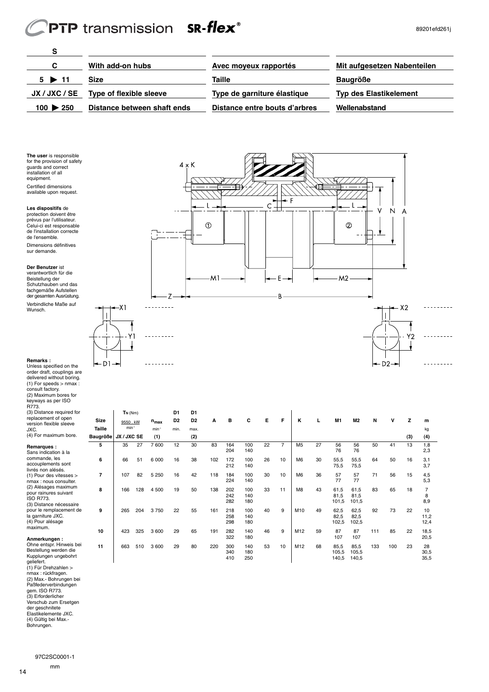# PTP transmission SR-flex®

<u> ---------</u>

D<sub>2</sub>

| C                        | With add-on hubs                      | Avec moyeux rapportés         | Mit aufgesetzen Nabenteilen   |
|--------------------------|---------------------------------------|-------------------------------|-------------------------------|
| $5 \triangleright 11$    | Size                                  | Taille                        | <b>Baugröße</b>               |
|                          | JX / JXC / SE Type of flexible sleeve | Type de garniture élastique   | <b>Typ des Elastikelement</b> |
| $100 \triangleright 250$ | Distance between shaft ends           | Distance entre bouts d'arbres | Wellenabstand                 |

**The user** is responsible for the provision of safety guards and correct installation of all equipment. Certified dimensions available upon request.

**S**

**Les dispositifs** de protection doivent être prévus par l'utilisateur. Celui-ci est responsable de l'installation correcte de l'ensemble. Dimensions définitives sur demande.

**Der Benutzer** ist verantwortlich für die Beistellung der Schutzhauben und das fachgemäße Aufstellen der gesamten Ausrüstung. Verbindliche Maße auf Wunsch.

Unless specified on the order draft, couplings are delivered without boring. (1) For speeds > nmax :

consult factory. (2) Maximum bores for

**Remarks :**



| keyways as per ISO<br>R773.<br>(3) Distance required for                                     |             | $T_N$ ( $Nm$ ) |     |           | D <sub>1</sub> | D <sub>1</sub> |     |                   |                   |    |    |                |    |                        |                        |     |     |     |                    |
|----------------------------------------------------------------------------------------------|-------------|----------------|-----|-----------|----------------|----------------|-----|-------------------|-------------------|----|----|----------------|----|------------------------|------------------------|-----|-----|-----|--------------------|
| replacement of open<br>version flexible sleeve                                               | <b>Size</b> | 9550, kW       |     | $n_{max}$ | D <sub>2</sub> | D <sub>2</sub> | A   | в                 | C                 | Е  | F  | к              |    | M <sub>1</sub>         | M <sub>2</sub>         | N   | v   | z   | m                  |
| JXC.                                                                                         | Taille      | $min-1$        |     | $min-1$   | min.           | max.           |     |                   |                   |    |    |                |    |                        |                        |     |     |     | kg                 |
| (4) For maximum bore.                                                                        | Baugröße    | JX / JXC SE    |     | (1)       |                | (2)            |     |                   |                   |    |    |                |    |                        |                        |     |     | (3) | (4)                |
| Remarques:<br>Sans indication à la                                                           | 5           | 35             | 27  | 7 600     | 12             | 30             | 83  | 164<br>204        | 100<br>140        | 22 | 7  | M <sub>5</sub> | 27 | 56<br>76               | 56<br>76               | 50  | 41  | 13  | 1,8<br>2,3         |
| commande, les<br>accouplements sont<br>livrés non alésés.                                    | 6           | 66             | 51  | 6 0 0 0   | 16             | 38             | 102 | 172<br>212        | 100<br>140        | 26 | 10 | M <sub>6</sub> | 30 | 55,5<br>75,5           | 55,5<br>75,5           | 64  | 50  | 16  | 3,1<br>3.7         |
| $(1)$ Pour des vitesses $>$<br>nmax: nous consulter.                                         | 7           | 107            | 82  | 5 2 5 0   | 16             | 42             | 118 | 184<br>224        | 100<br>140        | 30 | 10 | M <sub>6</sub> | 36 | 57<br>77               | 57<br>77               | 71  | 56  | 15  | 4,5<br>5,3         |
| (2) Alésages maximum<br>pour rainures suivant<br><b>ISO R773.</b><br>(3) Distance nécessaire | 8           | 166            | 128 | 4 500     | 19             | 50             | 138 | 202<br>242<br>282 | 100<br>140<br>180 | 33 | 11 | M <sub>8</sub> | 43 | 61,5<br>81,5<br>101,5  | 61,5<br>81.5<br>101,5  | 83  | 65  | 18  | 8<br>8,9           |
| pour le remplacement de<br>la garniture JXC.<br>(4) Pour alésage                             | 9           | 265            | 204 | 3750      | 22             | 55             | 161 | 218<br>258<br>298 | 100<br>140<br>180 | 40 | 9  | M10            | 49 | 62,5<br>82,5<br>102,5  | 62,5<br>82,5<br>102,5  | 92  | 73  | 22  | 10<br>11,2<br>12,4 |
| maximum.<br>Anmerkungen:                                                                     | 10          | 423            | 325 | 3 600     | 29             | 65             | 191 | 282<br>322        | 140<br>180        | 46 | 9  | M12            | 59 | 87<br>107              | 87<br>107              | 111 | 85  | 22  | 18,5<br>20,5       |
| Ohne entspr. Hinweis bei<br>Bestellung werden die<br>Kupplungen ungebohrt<br>aoliofort       | 11          | 663            | 510 | 3 600     | 29             | 80             | 220 | 300<br>340<br>410 | 140<br>180<br>250 | 53 | 10 | M12            | 68 | 85,5<br>105,5<br>140,5 | 85,5<br>105,5<br>140,5 | 133 | 100 | 23  | 28<br>30,5<br>35,5 |

geliefert. (1) Für Drehzahlen > nmax : rückfragen. (2) Max.- Bohrungen bei Paßfederverbindungen gem. ISO R773. (3) Erforderlicher Verschub zum Ersetgen der geschnitete Elastikelemente JXC. (4) Gültig bei Max.- Bohrungen.



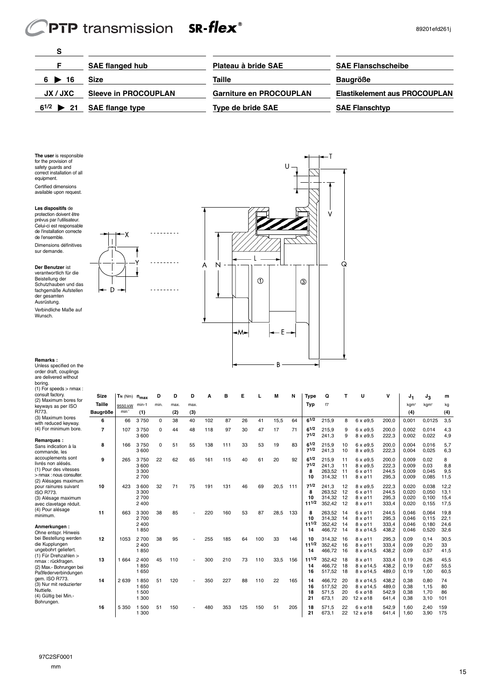# PTP transmission SR-flex<sup>®</sup>

-χ  $\overline{\phantom{a}}$ 

D

**Bassachu** 

<u>. . . . . . . . .</u>

 $- - - - - - - - - -$ 

| S                     |                                |                                |                                      |
|-----------------------|--------------------------------|--------------------------------|--------------------------------------|
|                       | <b>SAE flanged hub</b>         | Plateau à bride SAE            | <b>SAE Flanschscheibe</b>            |
| $6 \triangleright 16$ | Size                           | Taille                         | <b>Baugröße</b>                      |
| JX / JXC              | <b>Sleeve in PROCOUPLAN</b>    | <b>Garniture en PROCOUPLAN</b> | <b>Elastikelement aus PROCOUPLAN</b> |
|                       | $6^{1/2}$ > 21 SAE flange type | <b>Type de bride SAE</b>       | <b>SAE Flanschtyp</b>                |

**The user** is responsible for the provision of safety guards and correct installation of all equipment. Certified dimensions available upon request.

**Les dispositifs** de protection doivent être prévus par l'utilisateur. Celui-ci est responsable de l'installation correcte de l'ensemble. Dimensions définitives sur demande.

**Der Benutzer** ist verantwortlich für die Beistellung der Schutzhauben und das fachgemäße Aufstellen der gesamten Ausrüstung.

Verbindliche Maße auf Wunsch.



**Size TN** (Nm) **nmax D D D A B E L M N Type Q T U V J1 J3 m**

#### **Remarks :**

Unless specified on the order draft, couplings are delivered without boring. (1) For speeds > nmax : consult factory. (2) Maximum bores for keyways as per ISO R773.  $(3)$  M

| keyways as per ISO                                                                                                    | Taille          | 9550.kW    | min-1                             | min.     | max. | max. |     |     |     |     |      |     | Typ                         | f7                                   |                       |                                                                       |                                  | kgm <sup>2</sup>                 | kgm <sup>2</sup>                 | kg                           |
|-----------------------------------------------------------------------------------------------------------------------|-----------------|------------|-----------------------------------|----------|------|------|-----|-----|-----|-----|------|-----|-----------------------------|--------------------------------------|-----------------------|-----------------------------------------------------------------------|----------------------------------|----------------------------------|----------------------------------|------------------------------|
| R773                                                                                                                  | <b>Baugröße</b> | $min^{-1}$ | (1)                               |          | (2)  | (3)  |     |     |     |     |      |     |                             |                                      |                       |                                                                       |                                  | (4)                              |                                  | (4)                          |
| (3) Maximum bores<br>with reduced keyway.                                                                             | 6               | 66         | 3750                              | $\Omega$ | 38   | 40   | 102 | 87  | 26  | 41  | 15,5 | 64  | $6^{1/2}$                   | 215.9                                | 8                     | 6 x ø9,5                                                              | 200.0                            | 0.001                            | 0,0125                           | 3,5                          |
| (4) For minimum bore.                                                                                                 | $\overline{7}$  | 107        | 3750<br>3 600                     | $\Omega$ | 44   | 48   | 118 | 97  | 30  | 47  | 17   | 71  | $6^{1/2}$<br>71/2           | 215.9<br>241.3                       | 9<br>9                | $6 \times 69.5$<br>$8 \times 9.5$                                     | 200.0<br>222,3                   | 0.002<br>0,002                   | 0.014<br>0,022                   | 4,3<br>4,9                   |
| Remarques:<br>Sans indication à la<br>commande, les                                                                   | 8               | 166        | 3750<br>3 600                     | $\Omega$ | 51   | 55   | 138 | 111 | 33  | 53  | 19   | 83  | 61/2<br>71/2                | 215,9<br>241,3                       | 10<br>10              | $6 \times 9.5$<br>8 x ø9,5                                            | 200,0<br>222.3                   | 0.004<br>0.004                   | 0,016<br>0.025                   | 5,7<br>6,3                   |
| accouplements sont<br>livrés non alésés.<br>(1) Pour des vitesses<br>> nmax : nous consulter.<br>(2) Alésages maximum | 9               | 265        | 3750<br>3 600<br>3 300<br>2 700   | 22       | 62   | 65   | 161 | 115 | 40  | 61  | 20   | 92  | 61/2<br>71/2<br>8<br>10     | 215.9<br>241.3<br>263.52<br>314.32   | 11<br>11<br>11<br>11  | $6 \times 69.5$<br>$8 \times 69.5$<br>6 x ø11<br>$8 \times 611$       | 200.0<br>222,3<br>244,5<br>295,3 | 0.009<br>0.009<br>0,009<br>0.009 | 0.02<br>0,03<br>0,045<br>0,085   | 8<br>8,8<br>9,5<br>11,5      |
| pour rainures suivant<br><b>ISO R773.</b><br>(3) Alésage maximum<br>avec clavetage réduit.                            | 10              | 423        | 3 600<br>3 3 0 0<br>2700<br>2 400 | 32       | 71   | 75   | 191 | 131 | 46  | 69  | 20.5 | 111 | 71/2<br>8<br>10<br>111/2    | 241.3<br>263.52<br>314.32<br>352.42  | 12<br>12<br>12<br>12  | $8 \times 69.5$<br>$6 \times 611$<br>$8 \times 611$<br>$8 \times 011$ | 222,3<br>244,5<br>295,3<br>333,4 | 0.020<br>0.020<br>0,020<br>0,020 | 0.038<br>0,050<br>0,100<br>0,155 | 12.2<br>13,1<br>15,4<br>17,5 |
| (4) Pour alésage<br>minimum.<br>Anmerkungen:<br>Ohne entspr. Hinweis                                                  | 11              | 663        | 3 3 0 0<br>2700<br>2 400<br>1850  | 38       | 85   |      | 220 | 160 | 53  | 87  | 28,5 | 133 | 8<br>10<br>$11^{1/2}$<br>14 | 263.52<br>314,32<br>352,42<br>466.72 | -14<br>14<br>14<br>14 | $6 \times 611$<br>$8 \times 611$<br>$8 \times 611$<br>8 x ø14,5       | 244,5<br>295,3<br>333,4<br>438,2 | 0.046<br>0,046<br>0,046<br>0,046 | 0,064<br>0,115<br>0,180<br>0,520 | 19.8<br>22,1<br>24,6<br>32,6 |
| bei Bestellung werden<br>die Kupplungen<br>ungebohrt geliefert.<br>(1) Für Drehzahlen >                               | 12              | 1053       | 2 700<br>2 400<br>1850            | 38       | 95   |      | 255 | 185 | 64  | 100 | 33   | 146 | 10<br>$11^{1/2}$<br>14      | 314.32<br>352,42<br>466.72           | 16<br>16<br>16        | $8 \times 611$<br>$8 \times 611$<br>8 x ø14,5                         | 295,3<br>333,4<br>438.2          | 0.09<br>0,09<br>0.09             | 0.14<br>0,20<br>0,57             | 30,5<br>33<br>41,5           |
| nmax: rückfragen.<br>(2) Max.- Bohrungen bei<br>Paßfederverbindungen                                                  | 13              | 1 6 6 4    | 2 4 0 0<br>1850<br>1 650          | 45       | 110  |      | 300 | 210 | 73  | 110 | 33.5 | 156 | $11^{1/2}$<br>14<br>16      | 352.42<br>466.72<br>517.52           | 18<br>18<br>18        | $8 \times 011$<br>8 x ø14,5<br>8 x ø14.5                              | 333.4<br>438,2<br>489.0          | 0.19<br>0, 19<br>0.19            | 0.26<br>0,67<br>1,00             | 45.5<br>55,5<br>60,5         |
| aem. ISO R773.<br>(3) Nur mit reduzierter<br>Nuttiefe.<br>(4) Gültig bei Min.-<br>Bohrungen.                          | 14              | 2 6 3 9    | 1850<br>1 650<br>1 500<br>1 300   | 51       | 120  |      | 350 | 227 | 88  | 110 | 22   | 165 | 14<br>16<br>18<br>21        | 466.72<br>517.52<br>571,5<br>673.1   | 20<br>20<br>20<br>20  | 8 x ø14.5<br>8 x ø14.5<br>$6 \times 618$<br>$12 \times 018$           | 438.2<br>489.0<br>542,9<br>641.4 | 0.38<br>0.38<br>0,38<br>0.38     | 0.80<br>1.15<br>1,70<br>3,10     | 74<br>80<br>86<br>101        |
|                                                                                                                       | 16              | 5 3 5 0    | 500<br>1 300                      | 51       | 150  |      | 480 | 353 | 125 | 150 | 51   | 205 | 18<br>21                    | 571.5<br>673.1                       | 22<br>22              | 6 x ø 18<br>$12 \times 018$                                           | 542.9<br>641,4                   | 1.60<br>1.60                     | 2.40<br>3,90                     | 159<br>175                   |

97C2SF0001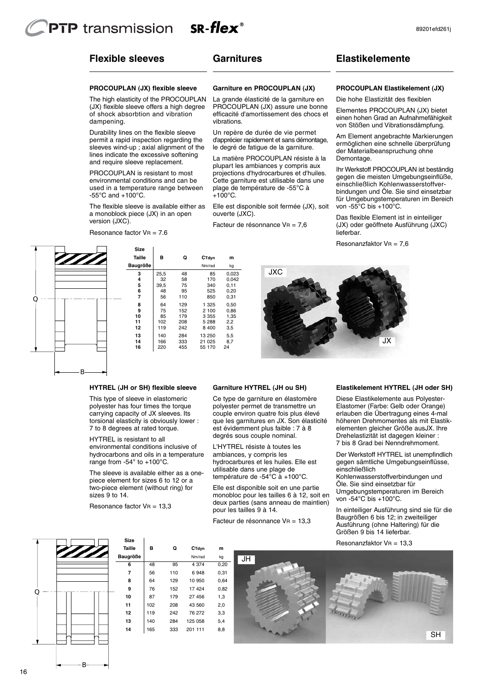# **Flexible sleeves**

## **Garnitures**

#### **PROCOUPLAN (JX) flexible sleeve**

The high elasticity of the PROCOUPLAN (JX) flexible sleeve offers a high degree of shock absorbtion and vibration dampening.

Durability lines on the flexible sleeve permit a rapid inspection regarding the sleeves wind-up ; axial alignment of the lines indicate the excessive softening and require sleeve replacement.

PROCOUPLAN is resistant to most environmental conditions and can be used in a temperature range between  $-55^{\circ}$ C and  $+100^{\circ}$ C.

The flexible sleeve is available either as a monoblock piece (JX) in an open version (JXC).

Resonance factor  $V = 7.6$ 

#### **Garniture en PROCOUPLAN (JX)**

La grande élasticité de la garniture en PROCOUPLAN (JX) assure une bonne efficacité d'amortissement des chocs et vibrations.

Un repère de durée de vie permet d'apprécier rapidement et sans démontage, le degré de fatigue de la garniture.

La matière PROCOUPLAN résiste à la plupart les ambiances y compris aux projections d'hydrocarbures et d'huiles. Cette garniture est utilisable dans une plage de température de -55°C à  $+100^{\circ}$ C.

Elle est disponible soit fermée (JX), soit ouverte (JXC).

**JXC** 

Facteur de résonnance VR = 7,6

## **Elastikelemente**

#### **PROCOUPLAN Elastikelement (JX)**

Die hohe Elastizität des flexiblen

Elementes PROCOUPLAN (JX) bietet einen hohen Grad an Aufnahmefähigkeit von Stößen und Vibrationsdämpfung.

Am Element angebrachte Markierungen ermöglichen eine schnelle überprüfung der Materialbeanspruchung ohne Demontage.

Ihr Werkstoff PROCOUPLAN ist beständig gegen die meisten Umgebungseinflüße, einschließlich Kohlenwasserstoffverbindungen und Öle. Sie sind einsetzbar für Umgebungstemperaturen im Bereich von -55°C bis +100°C.

Das flexible Element ist in einteiliger (JX) oder geöffnete Ausführung (JXC) lieferbar.

Resonanzfaktor VR = 7,6



55 170

**HYTREL (JH or SH) flexible sleeve** 

This type of sleeve in elastomeric polyester has four times the torque carrying capacity of JX sleeves. Its torsional elasticity is obviously lower : 7 to 8 degrees at rated torque.

HYTREL is resistant to all environmental conditions inclusive of hydrocarbons and oils in a temperature range from -54° to +100°C.

The sleeve is available either as a onepiece element for sizes 6 to 12 or a two-piece element (without ring) for sizes 9 to 14.

Resonance factor  $V = 13,3$ 

#### **Garniture HYTREL (JH ou SH)**

Ce type de garniture en élastomère polyester permet de transmettre un couple environ quatre fois plus élevé que les garnitures en JX. Son élasticité est évidemment plus faible : 7 à 8 degrés sous couple nominal.

L'HYTREL résiste à toutes les ambiances, y compris les hydrocarbures et les huiles. Elle est utilisable dans une plage de température de -54°C à +100°C.

Elle est disponible soit en une partie monobloc pour les tailles 6 à 12, soit en deux parties (sans anneau de maintien) pour les tailles 9 à 14.

Facteur de résonnance VR = 13,3

#### **Elastikelement HYTREL (JH oder SH)**

JX

Diese Elastikelemente aus Polyester-Elastomer (Farbe: Gelb oder Orange) erlauben die Übertragung eines 4-mal höheren Drehmomentes als mit Elastikelementen gleicher Größe ausJX. Ihre Drehelastizität ist dagegen kleiner : 7 bis 8 Grad bei Nenndrehmoment.

Der Werkstoff HYTREL ist unempfindlich gegen sämtliche Umgebungseinflüsse, einschließlich

Kohlenwasserstoffverbindungen und Öle. Sie sind einsetzbar für Umgebungstemperaturen im Bereich von -54°C bis +100°C.

In einteiliger Ausführung sind sie für die Baugrößen 6 bis 12; in zweiteiliger Ausführung (ohne Haltering) für die Größen 9 bis 14 lieferbar.

Resonanzfaktor V $B = 13,3$ 



B

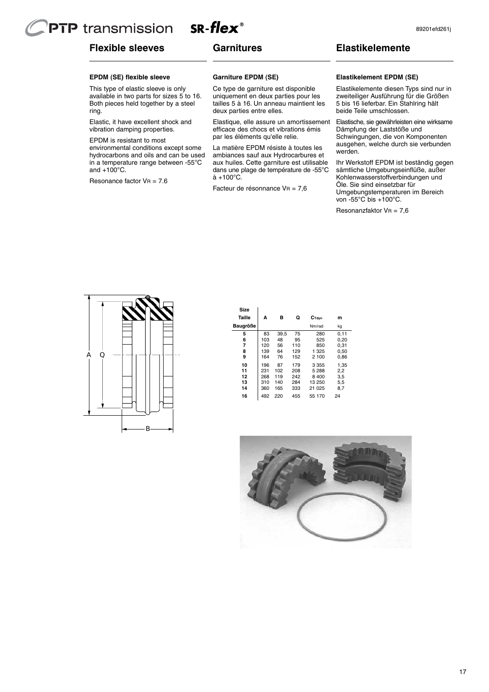# $SR$ -flex<sup>®</sup> **PTP** transmission

# **Flexible sleeves**

# **Garnitures**

# **Elastikelemente**

## **EPDM (SE) flexible sleeve**

This type of elastic sleeve is only available in two parts for sizes 5 to 16. Both pieces held together by a steel ring.

Elastic, it have excellent shock and vibration damping properties.

EPDM is resistant to most environmental conditions except some hydrocarbons and oils and can be used in a temperature range between -55°C and  $+100^{\circ}$ C.

Resonance factor  $V = 7.6$ 

#### **Garniture EPDM (SE)**

Ce type de garniture est disponible uniquement en deux parties pour les tailles 5 à 16. Un anneau maintient les deux parties entre elles.

Elastique, elle assure un amortissement efficace des chocs et vibrations émis par les éléments qu'elle relie.

La matière EPDM résiste à toutes les ambiances sauf aux Hydrocarbures et aux huiles. Cette garniture est utilisable dans une plage de température de -55°C  $\hat{a} + 100^{\circ}C$ .

Facteur de résonnance VR = 7,6

#### **Elastikelement EPDM (SE)**

Elastikelemente diesen Typs sind nur in zweiteiliger Ausführung für die Größen 5 bis 16 lieferbar. Ein Stahlring hält beide Teile umschlossen.

Elastische, sie gewährleisten eine wirksame Dämpfung der Laststöße und Schwingungen, die von Komponenten ausgehen, welche durch sie verbunden werden.

Ihr Werkstoff EPDM ist beständig gegen sämtliche Umgebungseinflüße, außer Kohlenwasserstoffverbindungen und Öle. Sie sind einsetzbar für Umgebungstemperaturen im Bereich von -55°C bis +100°C.

Resonanzfaktor VR = 7,6



| Size<br>Taille | A   | в    | Q   | C <sub>Tdvn</sub> | m    |
|----------------|-----|------|-----|-------------------|------|
|                |     |      |     |                   |      |
| Baugröße       |     |      |     | Nm/rad            | kg   |
| 5              | 83  | 39,5 | 75  | 280               | 0,11 |
| 6              | 103 | 48   | 95  | 525               | 0.20 |
| 7              | 120 | 56   | 110 | 850               | 0.31 |
| 8              | 139 | 64   | 129 | 1 325             | 0,50 |
| 9              | 164 | 76   | 152 | 2 100             | 0.86 |
| 10             | 196 | 87   | 179 | 3 3 5 5           | 1.35 |
| 11             | 231 | 102  | 208 | 5 288             | 2,2  |
| 12             | 268 | 119  | 242 | 8 4 0 0           | 3,5  |
| 13             | 310 | 140  | 284 | 13 250            | 5,5  |
| 14             | 360 | 165  | 333 | 21 025            | 8,7  |
| 16             | 492 | 220  | 455 | 55 170            | 24   |

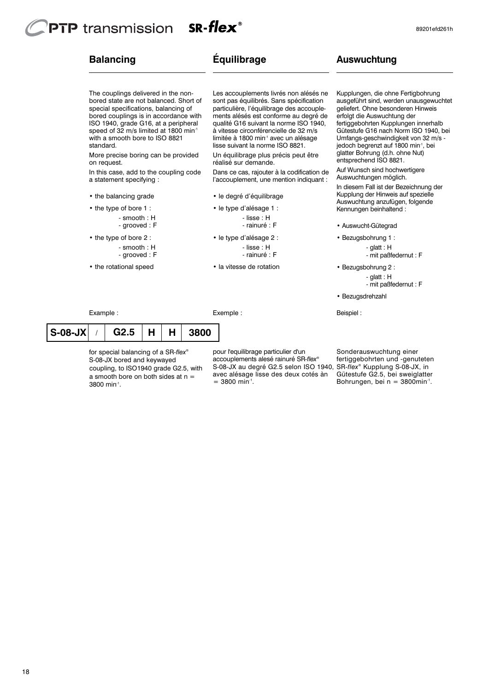# **PTP** transmission  $SR$ -flex $^{\circ}$

The couplings delivered in the nonbored state are not balanced. Short of special specifications, balancing of bored couplings is in accordance with ISO 1940, grade G16, at a peripheral speed of 32 m/s limited at 1800 min<sup>-1</sup> with a smooth bore to ISO 8821

More precise boring can be provided

In this case, add to the coupling code

- smooth : H - grooved : F

- smooth : H - grooved : F

# **Balancing**

standard.

on request.

a statement specifying : • the balancing grade • the type of bore 1 :

• the type of bore 2 :

• the rotational speed

# **Équilibrage**

Les accouplements livrés non alésés ne sont pas équilibrés. Sans spécification particulière, l'équilibrage des accouplements alésés est conforme au degré de qualité G16 suivant la norme ISO 1940, à vitesse circonférencielle de 32 m/s limitée à 1800 min<sup>-1</sup> avec un alésage lisse suivant la norme ISO 8821.

Un équilibrage plus précis peut être réalisé sur demande.

Dans ce cas, rajouter à la codification de l'accouplement, une mention indiquant :

- le degré d'équilibrage
- le type d'alésage 1 :

- lisse : H

- rainuré : F
- le type d'alésage 2 :
	- lisse : H - rainuré : F
	-
- la vitesse de rotation

Exemple :

**Auswuchtung**

Kupplungen, die ohne Fertigbohrung ausgeführt sind, werden unausgewuchtet geliefert. Ohne besonderen Hinweis erfolgt die Auswuchtung der fertiggebohrten Kupplungen innerhalb Gütestufe G16 nach Norm ISO 1940, bei Umfangs-geschwindigkeit von 32 m/s jedoch begrenzt auf 1800 min-1, bei glatter Bohrung (d.h. ohne Nut) entsprechend ISO 8821.

Auf Wunsch sind hochwertigere Auswuchtungen möglich.

In diesem Fall ist der Bezeichnung der Kupplung der Hinweis auf spezielle Auswuchtung anzufügen, folgende Kennungen beinhaltend :

- Auswucht-Gütegrad
- Bezugsbohrung 1 : - glatt : H - mit paßfedernut : F

• Bezugsbohrung 2 : - glatt : H

- mit paßfedernut : F

• Bezugsdrehzahl

Beispiel :

Example :

## / **G2.5 H H 3800 S-08-JX**

3800 min-1 . a smooth bore on both sides at  $n =$ coupling, to ISO1940 grade G2.5, with S-08-JX bored and keywayed for special balancing of a SR*-flex®*

 $= 3800$  min<sup>-1</sup>. avec alésage lisse des deux cotés àn accouplements alesé rainuré SR*-flex®* pour l'equilibrage particulier d'un S-08-JX au degré G2.5 selon ISO 1940,

Bohrungen, bei  $n = 3800$ min<sup>-1</sup>. Gütestufe G2.5, bei sweiglatter fertiggebohrten und -genuteten<br>SR-flex® Kupplung S-08-JX, in Sonderauswuchtung einer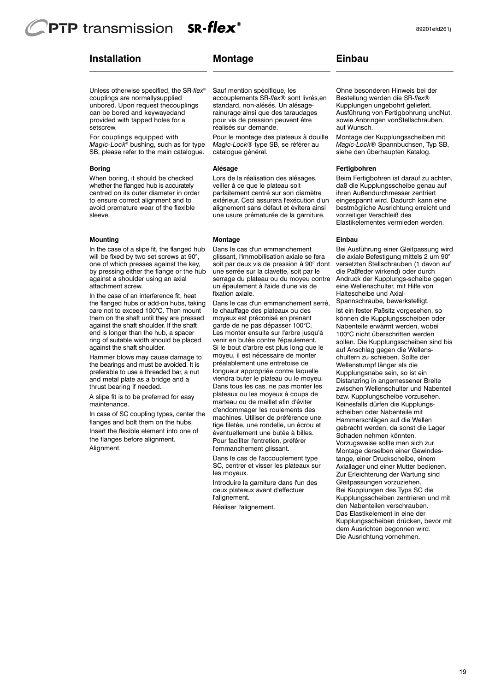## $SR$ -flex<sup>®</sup> **PTP** transmission

# **Installation Montage**

setscrew. provided with tapped holes for a can be bored and keywayedand unbored. Upon request thecouplings couplings are normallysupplied Unless otherwise specified, the SR-*flex*®

SB, please refer to the main catalogue. *Magic-Lock*® bushing, such as for type For couplings equipped with

#### **Boring**

sleeve. avoid premature wear of the flexible to ensure correct alignment and to centred on its outer diameter in order whether the flanged hub is accurately When boring, it should be checked

#### **Mounting**

attachment screw. against a shoulder using an axial by pressing either the flange or the hub one of which presses against the key, will be fixed by two set screws at 90°. In the case of a slipe fit, the flanged hub

against the shaft shoulder. ring of suitable width should be placed end is longer than the hub, a spacer against the shaft shoulder. If the shaft them on the shaft until they are pressed care not to exceed 100°C. Then mount the flanged hubs or add-on hubs, taking In the case of an interference fit, heat

thrust bearing if needed. and metal plate as a bridge and a preferable to use a threaded bar, a nut the bearings and must be avoided. It is Hammer blows may cause damage to

maintenance. A slipe fit is to be preferred for easy

Alignment. the flanges before alignment. Insert the flexible element into one of flanges and bolt them on the hubs. In case of SC coupling types, center the réalisés sur demande. pour vis de pression peuvent être rainurage ainsi que des taraudages standard, non-alésés. Un alésageaccouplements SR*-flex*® sont livrés,en Sauf mention spécifique, les

catalogue général. *Magic-Lock®* type SB, se référer au Pour le montage des plateaux à douille

#### **Alésage**

une usure prématurée de la garniture. alignement sans défaut et évitera ainsi extérieur. Ceci assurera l'exécution d'un parfaitement centré sur son diamètre veiller à ce que le plateau soit Lors de la réalisation des alésages,

#### **Montage**

fixation axiale. un épaulement à l'aide d'une vis de serrage du plateau ou du moyeu contre une serrée sur la clavette, soit par le soit par deux vis de pression à 90° dont glissant, l'immobilisation axiale se fera Dans le cas d'un emmanchement

l'emmanchement glissant. Pour faciliter l'entretien, préférer éventuellement une butée à billes. tige filetée, une rondelle, un écrou et machines. Utiliser de préférence une d'endommager les roulements des marteau ou de maillet afin d'éviter plateaux ou les moyeux à coups de Dans tous les cas, ne pas monter les viendra buter le plateau ou le moyeu. longueur appropriée contre laquelle préalablement une entretoise de moyeu, il est nécessaire de monter Si le bout d'arbre est plus long que le venir en butée contre l'épaulement. Les monter ensuite sur l'arbre jusqu'à garde de ne pas dépasser 100°C. moyeux est préconisé en prenant le chauffage des plateaux ou des Dans le cas d'un emmanchement serré

les moyeux. SC, centrer et visser les plateaux sur Dans le cas de l'accouplement type

l'alignement. deux plateaux avant d'effectuer Introduire la garniture dans l'un des

Réaliser l'alignement.

## **Einbau**

auf Wunsch. sowie Anbringen vonStellschrauben, Ausführung von Fertigbohrung undNut, Kupplungen ungebohrt geliefert. Bestellung werden die SR*-flex*® Ohne besonderen Hinweis bei der

siehe den überhaupten Katalog. *Magic-Lock®* Spannbuchsen, Typ SB, Montage der Kupplungsscheiben mit

#### **Fertigbohren**

Elastikelementes vermieden werden. vorzeitiger Verschleiß des bestmögliche Ausrichtung erreicht und eingespannt wird. Dadurch kann eine ihren Außendurchmesser zentriert daß die Kupplungsscheibe genau auf Beim Fertigbohren ist darauf zu achten,

#### **Einbau**

Haltescheibe und Axialeine Wellenschulter, mit Hilfe von Andruck der Kupplungs-scheibe gegen die Paßfeder wirkend) oder durch versetzten Stellschrauben (1 davon auf die axiale Befestigung mittels 2 um 90° Bei Ausführung einer Gleitpassung wird

Spannschraube, bewerkstelligt.

Die Ausrichtung vornehmen. dem Ausrichten begonnen wird. Kupplungsscheiben drücken, bevor mit Das Elastikelement in eine der den Nabenteilen verschrauben. Kupplungsscheiben zentrieren und mit Bei Kupplungen des Typs SC die Gleitpassungen vorzuziehen. Zur Erleichterung der Wartung sind Axiallager und einer Mutter bedienen. tange, einer Druckscheibe, einem Montage derselben einer Gewindes-Vorzugsweise sollte man sich zur Schaden nehmen könnten. gebracht werden, da sonst die Lager Hammerschlägen auf die Wellen scheiben oder Nabenteile mit Keinesfalls dürfen die Kupplungsbzw. Kupplungscheibe vorzusehen. zwischen Wellenschulter und Nabenteil Distanzring in angemessener Breite Kupplungsnabe sein, so ist ein Wellenstumpf länger als die chultern zu schieben. Sollte der auf Anschlag gegen die Wellenssollen. Die Kupplungsscheiben sind bis 100°C nicht überschritten werden Nabenteile erwärmt werden, wobei können die Kupplungsscheiben oder Ist ein fester Paßsitz vorgesehen, so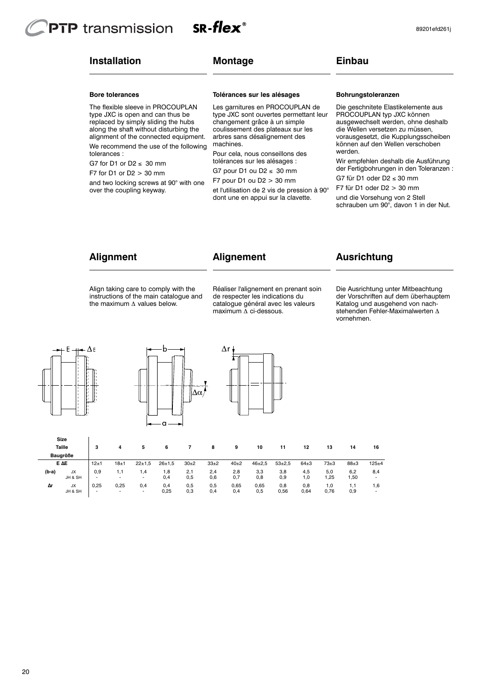# $SR$ -flex<sup>®</sup> **PTP** transmission

# **Installation**

# **Montage**

# **Einbau**

#### **Bore tolerances**

The flexible sleeve in PROCOUPLAN type JXC is open and can thus be replaced by simply sliding the hubs along the shaft without disturbing the alignment of the connected equipment. We recommend the use of the following tolerances :

G7 for D1 or  $D2 \leq 30$  mm

F7 for D1 or D2 > 30 mm

and two locking screws at 90° with one over the coupling keyway.

#### **Tolérances sur les alésages**

Les garnitures en PROCOUPLAN de type JXC sont ouvertes permettant leur changement grâce à un simple coulissement des plateaux sur les arbres sans désalignement des machines.

Pour cela, nous conseillons des tolérances sur les alésages :

G7 pour D1 ou  $D2 \leq 30$  mm

F7 pour D1 ou  $D2 > 30$  mm et l'utilisation de 2 vis de pression à 90° dont une en appui sur la clavette.

#### **Bohrungstoleranzen**

Die geschnitete Elastikelemente aus PROCOUPLAN typ JXC können ausgewechselt werden, ohne deshalb die Wellen versetzen zu müssen, vorausgesetzt, die Kupplungsscheiben können auf den Wellen verschoben werden.

Wir empfehlen deshalb die Ausführung der Fertigbohrungen in den Toleranzen : G7 für D1 oder D2 ≤ 30 mm

F7 für D1 oder D2 > 30 mm

und die Vorsehung von 2 Stell schrauben um 90°, davon 1 in der Nut.

# **Alignment**

# **Alignement**

# **Ausrichtung**

Align taking care to comply with the instructions of the main catalogue and the maximum Δ values below.

Réaliser l'alignement en prenant soin de respecter les indications du catalogue général avec les valeurs maximum Δ ci-dessous.

Die Ausrichtung unter Mitbeachtung der Vorschriften auf dem überhauptem Katalog und ausgehend von nachstehenden Fehler-Maximalwerten Δ vornehmen.







|         | Size<br><b>Taille</b> | ≏                        | 4    | 5                        | 6          |        | 8      | 9        | 10         | 11         | 12       | 13       | 14       | 16                       |
|---------|-----------------------|--------------------------|------|--------------------------|------------|--------|--------|----------|------------|------------|----------|----------|----------|--------------------------|
|         | <b>Baugröße</b>       |                          |      |                          |            |        |        |          |            |            |          |          |          |                          |
|         | E AE                  | 12±1                     | 18±1 | $22 + 1.5$               | $26 + 1.5$ | $30+2$ | $33+2$ | $40\pm2$ | $46 + 2.5$ | $53 + 2.5$ | $64 + 3$ | $73\pm3$ | $88 + 3$ | $125 + 4$                |
| $(b-a)$ | <b>JX</b>             | 0.9                      | 1.1  | 1.4                      | 8.1        | 2,1    | 2,4    | 2,8      | 3,3        | 3,8        | 4.5      | 5,0      | 6,2      | 8,4                      |
|         | JH & SH               | -                        | -    | -                        | 0,4        | 0,5    | 0,6    | 0,7      | 0,8        | 0,9        | 1,0      | .25      | 1,50     | $\overline{\phantom{0}}$ |
| Δr      | <b>JX</b>             | 0.25                     | 0.25 | 0,4                      | 0,4        | 0,5    | 0,5    | 0.65     | 0.65       | 0,8        | 0,8      | 1.0      | 1.1      | 1,6                      |
|         | JH & SH               | $\overline{\phantom{0}}$ |      | $\overline{\phantom{a}}$ | 0,25       | 0,3    | 0,4    | 0,4      | 0,5        | 0,56       | 0,64     | 0,76     | 0,9      | $\overline{\phantom{a}}$ |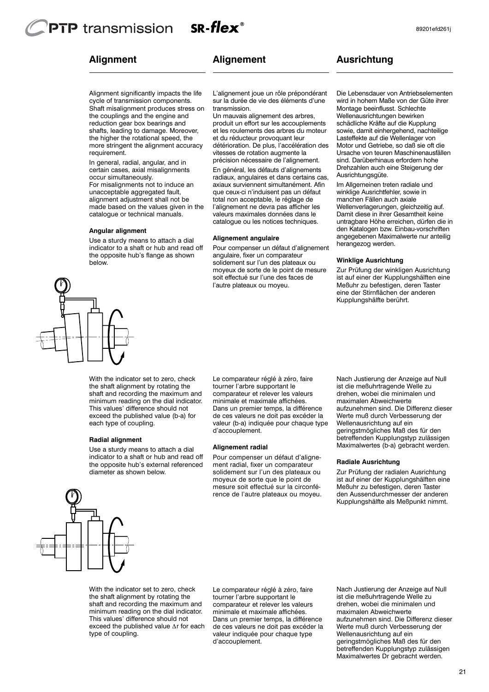the higher the rotational speed, the more stringent the alignment accuracy

In general, radial, angular, and in certain cases, axial misalignments

For misalignments not to induce an unacceptable aggregated fault, alignment adjustment shall not be made based on the values given in the catalogue or technical manuals.

Use a sturdy means to attach a dial indicator to a shaft or hub and read off the opposite hub's flange as shown

# **Alignment**

requirement.

occur simultaneously.

**Angular alignment**

# **Alignement**

Alignment significantly impacts the life cycle of transmission components. Shaft misalignment produces stress on the couplings and the engine and reduction gear box bearings and shafts, leading to damage. Moreover, L'alignement joue un rôle prépondérant sur la durée de vie des éléments d'une transmission. Un mauvais alignement des arbres,

produit un effort sur les accouplements et les roulements des arbres du moteur et du réducteur provoquant leur détérioration. De plus, l'accélération des vitesses de rotation augmente la précision nécessaire de l'alignement. En général, les défauts d'alignements radiaux, angulaires et dans certains cas, axiaux surviennent simultanément. Afin que ceux-ci n'induisent pas un défaut total non acceptable, le réglage de l'alignement ne devra pas afficher les valeurs maximales données dans le catalogue ou les notices techniques.

#### **Alignement angulaire**

Pour compenser un défaut d'alignement angulaire, fixer un comparateur solidement sur l'un des plateaux ou moyeux de sorte de le point de mesure soit effectué sur l'une des faces de l'autre plateaux ou moyeu.

# **Ausrichtung**

Die Lebensdauer von Antriebselementen wird in hohem Maße von der Güte ihrer Montage beeinflusst. Schlechte Wellenausrichtungen bewirken schädliche Kräfte auf die Kupplung sowie, damit einhergehend, nachteilige Lasteffekte auf die Wellenlager von Motor und Getriebe, so daß sie oft die Ursache von teuren Maschinenausfällen sind. Darüberhinaus erfordern hohe Drehzahlen auch eine Steigerung der Ausrichtungsgüte.

Im Allgemeinen treten radiale und winklige Ausrichtfehler, sowie in manchen Fällen auch axiale Wellenverlagerungen, gleichzeitig auf. Damit diese in ihrer Gesamtheit keine untragbare Höhe erreichen, dürfen die in den Katalogen bzw. Einbau-vorschriften angegebenen Maximalwerte nur anteilig herangezog werden.

#### **Winklige Ausrichtung**

Zur Prüfung der winkligen Ausrichtung ist auf einer der Kupplungshälften eine Meßuhr zu befestigen, deren Taster eine der Stirnflächen der anderen Kupplungshälfte berührt.

below.

With the indicator set to zero, check the shaft alignment by rotating the shaft and recording the maximum and minimum reading on the dial indicator. This values' difference should not exceed the published value (b-a) for each type of coupling.

#### **Radial alignment**

Use a sturdy means to attach a dial indicator to a shaft or hub and read off the opposite hub's external referenced diameter as shown below.

Le comparateur réglé à zéro, faire tourner l'arbre supportant le comparateur et relever les valeurs minimale et maximale affichées. Dans un premier temps, la différence de ces valeurs ne doit pas excéder la valeur (b-a) indiquée pour chaque type d'accouplement.

#### **Alignement radial**

Pour compenser un défaut d'alignement radial, fixer un comparateur solidement sur l'un des plateaux ou moyeux de sorte que le point de mesure soit effectué sur la circonférence de l'autre plateaux ou moyeu.

Nach Justierung der Anzeige auf Null ist die meßuhrtragende Welle zu drehen, wobei die minimalen und maximalen Abweichwerte aufzunehmen sind. Die Differenz dieser Werte muß durch Verbesserung der Wellenausrichtung auf ein geringstmögliches Maß des für den betreffenden Kupplungstyp zulässigen Maximalwertes (b-a) gebracht werden.

#### **Radiale Ausrichtung**

Zur Prüfung der radialen Ausrichtung ist auf einer der Kupplungshälften eine Meßuhr zu befestigen, deren Taster den Aussendurchmesser der anderen Kupplungshälfte als Meßpunkt nimmt.



With the indicator set to zero, check the shaft alignment by rotating the shaft and recording the maximum and minimum reading on the dial indicator. This values' difference should not exceed the published value Δr for each type of coupling.

Le comparateur réglé à zéro, faire tourner l'arbre supportant le comparateur et relever les valeurs minimale et maximale affichées. Dans un premier temps, la différence de ces valeurs ne doit pas excéder la valeur indiquée pour chaque type d'accouplement.

Nach Justierung der Anzeige auf Null ist die meßuhrtragende Welle zu drehen, wobei die minimalen und maximalen Abweichwerte aufzunehmen sind. Die Differenz dieser Werte muß durch Verbesserung der Wellenausrichtung auf ein geringstmögliches Maß des für den betreffenden Kupplungstyp zulässigen Maximalwertes Dr gebracht werden.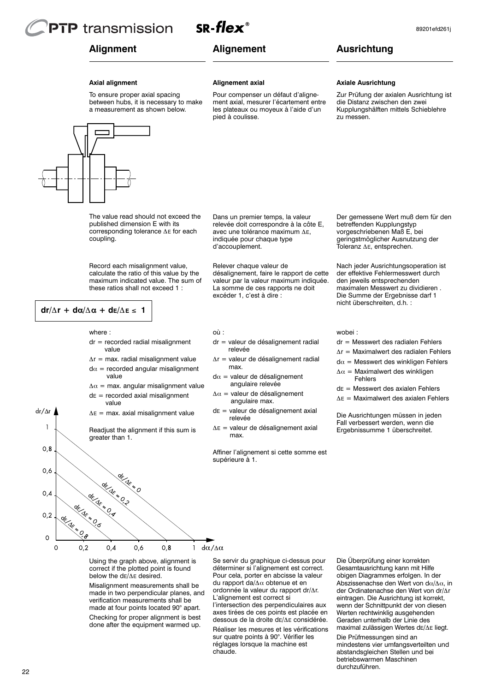**PTP** transmission

# **Alignment**

# **Alignement**

 $SR$ -flex

**Alignement axial**

pied à coulisse.

d'accouplement.

où :

Relever chaque valeur de

excéder 1, c'est à dire :

relevée

relevée

max.

max.

Pour compenser un défaut d'alignement axial, mesurer l'écartement entre les plateaux ou moyeux à l'aide d'un

Dans un premier temps, la valeur relevée doit correspondre à la côte E, avec une tolérance maximum ΔE, indiquée pour chaque type

désalignement, faire le rapport de cette valeur par la valeur maximum indiquée. La somme de ces rapports ne doit

dr = valeur de désalignement radial

Δr = valeur de désalignement radial

 $\Delta E$  = valeur de désalignement axial

 $d\alpha$  = valeur de désalignement angulaire relevée  $\Delta \alpha$  = valeur de désalignement angulaire max.  $dE$  = valeur de désalignement axial

# **Ausrichtung**

#### **Axial alignment**

To ensure proper axial spacing between hubs, it is necessary to make a measurement as shown below.



The value read should not exceed the published dimension E with its corresponding tolerance Δ<sup>E</sup> for each coupling.

Record each misalignment value, calculate the ratio of this value by the maximum indicated value. The sum of these ratios shall not exceed 1 :

## **dr/**Δ**r + d**α**/**Δα **+ dE/**Δ**<sup>E</sup>** ≤ **1**

 $dr/\Delta r$ 

 $\overline{1}$ 

#### where :

- $dr =$  recorded radial misalignment value
- $\Delta r$  = max. radial misalignment value  $d\alpha$  = recorded angular misalignment value
- $\Delta \alpha$  = max. angular misalignment value
- $dE$  = recorded axial misalignment value
- $\Delta E$  = max. axial misalignment value

Readjust the alignment if this sum is greater than 1.



Using the graph above, alignment is correct if the plotted point is found below the dE/Δ<sup>E</sup> desired.

Misalignment measurements shall be made in two perpendicular planes, and verification measurements shall be made at four points located 90° apart.

Checking for proper alignment is best done after the equipment warmed up.

Se servir du graphique ci-dessus pour déterminer si l'alignement est correct. Pour cela, porter en abcisse la valeur du rapport da/Δα obtenue et en ordonnée la valeur du rapport dr/Δr. L'alignement est correct si

l'intersection des perpendiculaires aux axes tirées de ces points est placée en dessous de la droite dE/Δ<sup>E</sup> considérée.

Réaliser les mesures et les vérifications sur quatre points à 90°. Vérifier les réglages lorsque la machine est chaude.

#### **Axiale Ausrichtung**

Zur Prüfung der axialen Ausrichtung ist die Distanz zwischen den zwei Kupplungshälften mittels Schieblehre zu messen.

Der gemessene Wert muß dem für den betreffenden Kupplungstyp vorgeschriebenen Maß E, bei geringstmöglicher Ausnutzung der Toleranz ΔE, entsprechen.

Nach jeder Ausrichtungsoperation ist der effektive Fehlermesswert durch den jeweils entsprechenden maximalen Messwert zu dividieren . Die Summe der Ergebnisse darf 1 nicht überschreiten, d.h. :

#### wobei :

- dr = Messwert des radialen Fehlers
- Δr = Maximalwert des radialen Fehlers
- $d\alpha$  = Messwert des winkligen Fehlers  $\Delta \alpha$  = Maximalwert des winkligen
- Fehlers
- dE = Messwert des axialen Fehlers
- Δ<sup>E</sup> = Maximalwert des axialen Fehlers

Die Ausrichtungen müssen in jeden Fall verbessert werden, wenn die Ergebnissumme 1 überschreitet.

Die Überprüfung einer korrekten Gesamtausrichtung kann mit Hilfe obigen Diagrammes erfolgen. In der Abszissenachse den Wert von d $\alpha/\Delta\alpha$ , in der Ordinatenachse den Wert von dr/Δr eintragen. Die Ausrichtung ist korrekt, wenn der Schnittpunkt der von diesen Werten rechtwinklig ausgehenden Geraden unterhalb der Linie des maximal zulässigen Wertes dE/Δ<sup>E</sup> liegt.

Die Prüfmessungen sind an mindestens vier umfangsverteilten und abstandsgleichen Stellen und bei betriebswarmen Maschinen durchzuführen.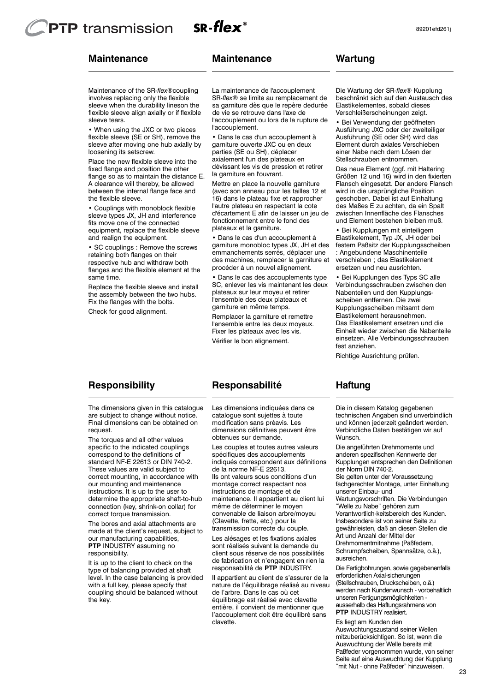# $SR$ -flex<sup>®</sup> **PTP** transmission

# **Maintenance**

## **Maintenance**

# **Wartung**

89201efd261j

sleeve tears. flexible sleeve align axially or if flexible sleeve when the durability lineson the involves replacing only the flexible Maintenance of the SR*-flex*®coupling

loosening its setscrew. sleeve after moving one hub axially by flexible sleeve (SE or SH), remove the • When using the JXC or two pieces

the flexible sleeve. between the internal flange face and A clearance will thereby, be allowed flange so as to maintain the distance E. fixed flange and position the other Place the new flexible sleeve into the

and realign the equipment. equipment, replace the flexible sleeve fits move one of the connected sleeve types JX, JH and interference • Couplings with monoblock flexible

same time. flanges and the flexible element at the respective hub and withdraw both retaining both flanges on their • SC couplings : Remove the screws

Fix the flanges with the bolts. the assembly between the two hubs. Replace the flexible sleeve and install

Check for good alignment.

l'accouplement. l'accouplement ou lors de la rupture de de vie se retrouve dans l'axe de sa garniture dès que le repère dedurée SR*-flex*® se limite au remplacement de La maintenance de l'accouplement

la garniture en l'ouvrant. dévissant les vis de pression et retirer axialement l'un des plateaux en parties (SE ou SH), déplacer garniture ouverte JXC ou en deux • Dans le cas d'un accouplement à

plateaux et la garniture. fonctionnement entre le fond des d'écartement E afin de laisser un jeu de l'autre plateau en respectant la cote 16) dans le plateau fixe et rapprocher (avec son anneau pour les tailles 12 et Mettre en place la nouvelle garniture

procéder à un nouvel alignement. des machines, remplacer la garniture et emmanchements serrés, déplacer une garniture monobloc types JX, JH et des • Dans le cas d'un accouplement à

garniture en même temps. l'ensemble des deux plateaux et plateaux sur leur moyeu et retirer SC, enlever les vis maintenant les deux • Dans le cas des accouplements type

Vérifier le bon alignement. Fixer les plateaux avec les vis. l'ensemble entre les deux moyeux. Remplacer la garniture et remettre

# **Responsibility**

The dimensions given in this catalogue are subject to change without notice. Final dimensions can be obtained on request.

The torques and all other values specific to the indicated couplings correspond to the definitions of standard NF-E 22613 or DIN 740-2. These values are valid subject to correct mounting, in accordance with our mounting and maintenance instructions. It is up to the user to determine the appropriate shaft-to-hub connection (key, shrink-on collar) for correct torque transmission.

The bores and axial attachments are made at the client's request, subject to our manufacturing capabilities, **PTP** INDUSTRY assuming no responsibility.

It is up to the client to check on the type of balancing provided at shaft level. In the case balancing is provided with a full key, please specify that coupling should be balanced without the key.

# **Responsabilité**

Les dimensions indiquées dans ce catalogue sont sujettes à toute modification sans préavis. Les dimensions définitives peuvent être obtenues sur demande.

Les couples et toutes autres valeurs spécifiques des accouplements indiqués correspondent aux définitions de la norme NF-E 22613. Ils ont valeurs sous conditions d'un

montage correct respectant nos instructions de montage et de maintenance. Il appartient au client lui même de déterminer le moyen convenable de liaison arbre/moyeu (Clavette, frette, etc.) pour la transmission correcte du couple.

Les alésages et les fixations axiales sont réalisés suivant la demande du client sous réserve de nos possibilités de fabrication et n'engagent en rien la responsabilité de **PTP** INDUSTRY.

Il appartient au client de s'assurer de la nature de l'équilibrage réalisé au niveau de l'arbre. Dans le cas où cet équilibrage est réalisé avec clavette entière, il convient de mentionner que l'accouplement doit être équilibré sans clavette.

Verschleißerscheinungen zeigt. Elastikelementes, sobald dieses beschränkt sich auf den Austausch des Die Wartung der SR-*flex*® Kupplung

Stellschrauben entnommen. einer Nabe nach dem Lösen der Element durch axiales Verschieben Ausführung (SE oder SH) wird das Ausführung JXC oder der zweiteiliger • Bei Verwendung der geöffneten

und Element bestehen bleiben muß. zwischen Innenfläche des Flansches des Maßes E zu achten, da ein Spalt geschoben. Dabei ist auf Einhaltung wird in die ursprüngliche Position Flansch eingesetzt. Der andere Flansch Größen 12 und 16) wird in den fixierten Das neue Element (ggf. mit Haltering

ersetzen und neu ausrichten. verschieben ; das Elastikelement : Angebundene Maschinenteile festem Paßsitz der Kupplungsscheiben Elastikelement, Typ JX, JH oder bei • Bei Kupplungen mit einteiligem

fest anziehen. einsetzen. Alle Verbindungsschrauben Einheit wieder zwischen die Nabenteile Das Elastikelement ersetzen und die Elastikelement herausnehmen. Kupplungsscheiben mitsamt dem scheiben entfernen. Die zwei Nabenteilen und den Kupplungs-Verbindungsschrauben zwischen den • Bei Kupplungen des Typs SC alle

Richtige Ausrichtung prüfen.

## **Haftung**

Die in diesem Katalog gegebenen technischen Angaben sind unverbindlich und können jederzeit geändert werden. Verbindliche Daten bestätigen wir auf Wunsch.

Die angeführten Drehmomente und anderen spezifischen Kennwerte der Kupplungen entsprechen den Definitionen der Norm DIN 740-2.

Sie gelten unter der Voraussetzung fachgerechter Montage, unter Einhaltung unserer Einbau- und

Wartungsvorschriften. Die Verbindungen "Welle zu Nabe" gehören zum

Verantwortlich-keitsbereich des Kunden. Insbesondere ist von seiner Seite zu gewährleisten, daß an diesen Stellen die

Art und Anzahl der Mittel der Drehmomentmitnahme (Paßfedern, Schrumpfscheiben, Spannsätze, o.ä.), ausreichen.

Die Fertigbohrungen, sowie gegebenenfalls erforderlichen Axial-sicherungen (Stellschrauben, Druckscheiben, o.ä.) werden nach Kundenwunsch - vorbehaltlich unseren Fertigungsmöglichkeiten ausserhalb des Haftungsrahmens von **PTP** INDUSTRY realisiert.

Es liegt am Kunden den Auswuchtungszustand seiner Wellen mitzuberücksichtigen. So ist, wenn die Auswuchtung der Welle bereits mit Paßfeder vorgenommen wurde, von seiner Seite auf eine Auswuchtung der Kupplung "mit Nut - ohne Paßfeder" hinzuweisen.